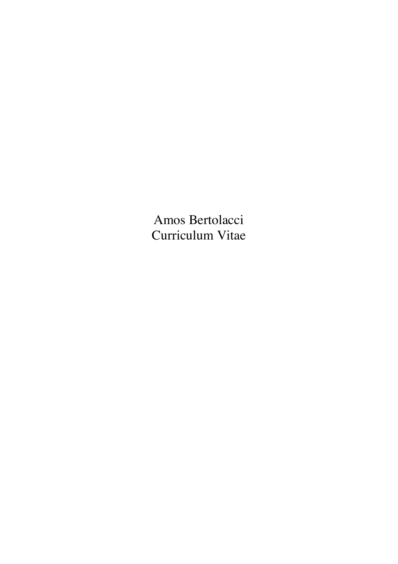Amos Bertolacci Curriculum Vitae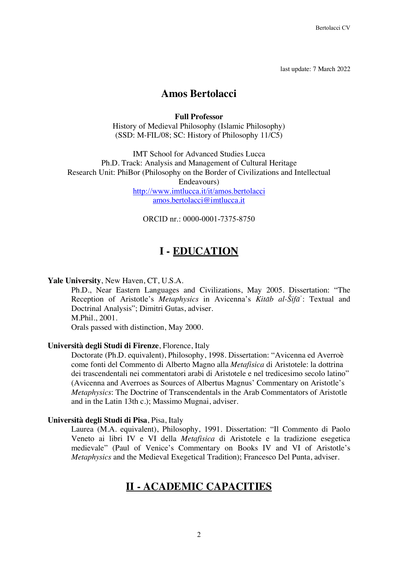last update: 7 March 2022

### **Amos Bertolacci**

### **Full Professor**

History of Medieval Philosophy (Islamic Philosophy) (SSD: M-FIL/08; SC: History of Philosophy 11/C5)

IMT School for Advanced Studies Lucca Ph.D. Track: Analysis and Management of Cultural Heritage Research Unit: PhiBor (Philosophy on the Border of Civilizations and Intellectual Endeavours) http://www.imtlucca.it/it/amos.bertolacci amos.bertolacci@imtlucca.it

ORCID nr · 0000-0001-7375-8750

## **I - EDUCATION**

### **Yale University**, New Haven, CT, U.S.A.

Ph.D., Near Eastern Languages and Civilizations, May 2005. Dissertation: "The Reception of Aristotle's *Metaphysics* in Avicenna's *Kitāb al-Šifā*ʾ: Textual and Doctrinal Analysis"; Dimitri Gutas, adviser. M.Phil., 2001.

Orals passed with distinction, May 2000.

#### **Università degli Studi di Firenze**, Florence, Italy

Doctorate (Ph.D. equivalent), Philosophy, 1998. Dissertation: "Avicenna ed Averroè come fonti del Commento di Alberto Magno alla *Metafisica* di Aristotele: la dottrina dei trascendentali nei commentatori arabi di Aristotele e nel tredicesimo secolo latino" (Avicenna and Averroes as Sources of Albertus Magnus' Commentary on Aristotle's *Metaphysics*: The Doctrine of Transcendentals in the Arab Commentators of Aristotle and in the Latin 13th c.); Massimo Mugnai, adviser.

#### **Università degli Studi di Pisa**, Pisa, Italy

Laurea (M.A. equivalent), Philosophy, 1991. Dissertation: "Il Commento di Paolo Veneto ai libri IV e VI della *Metafisica* di Aristotele e la tradizione esegetica medievale" (Paul of Venice's Commentary on Books IV and VI of Aristotle's *Metaphysics* and the Medieval Exegetical Tradition); Francesco Del Punta, adviser.

### **II - ACADEMIC CAPACITIES**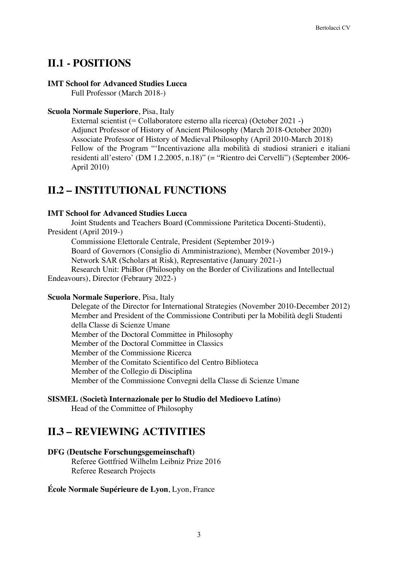### **II.1 - POSITIONS**

#### **IMT School for Advanced Studies Lucca**

Full Professor (March 2018-)

### **Scuola Normale Superiore**, Pisa, Italy

External scientist (= Collaboratore esterno alla ricerca) (October 2021 -) Adjunct Professor of History of Ancient Philosophy (March 2018-October 2020) Associate Professor of History of Medieval Philosophy (April 2010-March 2018) Fellow of the Program "'Incentivazione alla mobilità di studiosi stranieri e italiani residenti all'estero' (DM 1.2.2005, n.18)" (= "Rientro dei Cervelli") (September 2006- April 2010)

### **II.2 – INSTITUTIONAL FUNCTIONS**

### **IMT School for Advanced Studies Lucca**

Joint Students and Teachers Board **(**Commissione Paritetica Docenti-Studenti), President (April 2019-)

Commissione Elettorale Centrale, President (September 2019-)

Board of Governors (Consiglio di Amministrazione), Member (November 2019-) Network SAR (Scholars at Risk), Representative (January 2021-)

Research Unit: PhiBor (Philosophy on the Border of Civilizations and Intellectual Endeavours), Director (Febraury 2022-)

### **Scuola Normale Superiore**, Pisa, Italy

Delegate of the Director for International Strategies (November 2010-December 2012) Member and President of the Commissione Contributi per la Mobilità degli Studenti della Classe di Scienze Umane Member of the Doctoral Committee in Philosophy Member of the Doctoral Committee in Classics Member of the Commissione Ricerca Member of the Comitato Scientifico del Centro Biblioteca Member of the Collegio di Disciplina Member of the Commissione Convegni della Classe di Scienze Umane

### **SISMEL (Società Internazionale per lo Studio del Medioevo Latino)**

Head of the Committee of Philosophy

### **II.3 – REVIEWING ACTIVITIES**

### **DFG (Deutsche Forschungsgemeinschaft)**

Referee Gottfried Wilhelm Leibniz Prize 2016 Referee Research Projects

### **École Normale Supérieure de Lyon**, Lyon, France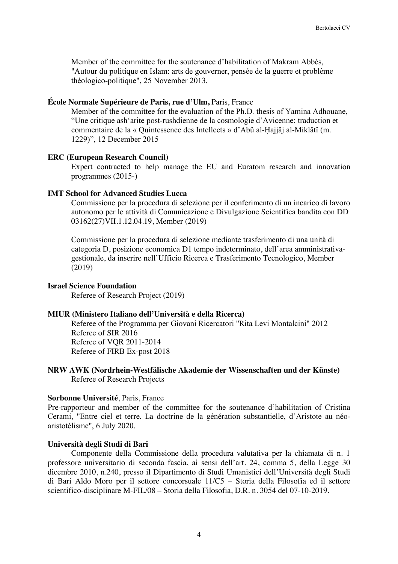Member of the committee for the soutenance d'habilitation of Makram Abbès, "Autour du politique en Islam: arts de gouverner, pensée de la guerre et problème théologico-politique", 25 November 2013.

#### **École Normale Supérieure de Paris, rue d'Ulm,** Paris, France

Member of the committee for the evaluation of the Ph.D. thesis of Yamina Adhouane, "Une critique ash'arite post-rushdienne de la cosmologie d'Avicenne: traduction et commentaire de la « Quintessence des Intellects » d'Abû al-Ḥajjâj al-Miklâtî (m. 1229)", 12 December 2015

#### **ERC (European Research Council)**

Expert contracted to help manage the EU and Euratom research and innovation programmes (2015-)

#### **IMT School for Advanced Studies Lucca**

Commissione per la procedura di selezione per il conferimento di un incarico di lavoro autonomo per le attività di Comunicazione e Divulgazione Scientifica bandita con DD 03162(27)VII.1.12.04.19, Member (2019)

Commissione per la procedura di selezione mediante trasferimento di una unità di categoria D, posizione economica D1 tempo indeterminato, dell'area amministrativagestionale, da inserire nell'Ufficio Ricerca e Trasferimento Tecnologico, Member (2019)

#### **Israel Science Foundation**

Referee of Research Project (2019)

#### **MIUR (Ministero Italiano dell'Università e della Ricerca)**

Referee of the Programma per Giovani Ricercatori "Rita Levi Montalcini" 2012 Referee of SIR 2016 Referee of VQR 2011-2014 Referee of FIRB Ex-post 2018

### **NRW AWK (Nordrhein-Westfälische Akademie der Wissenschaften und der Künste)** Referee of Research Projects

### **Sorbonne Université**, Paris, France

Pre-rapporteur and member of the committee for the soutenance d'habilitation of Cristina Cerami, "Entre ciel et terre. La doctrine de la génération substantielle, d'Aristote au néoaristotélisme", 6 July 2020.

### **Università degli Studi di Bari**

Componente della Commissione della procedura valutativa per la chiamata di n. 1 professore universitario di seconda fascia, ai sensi dell'art. 24, comma 5, della Legge 30 dicembre 2010, n.240, presso il Dipartimento di Studi Umanistici dell'Università degli Studi di Bari Aldo Moro per il settore concorsuale 11/C5 – Storia della Filosofia ed il settore scientifico-disciplinare M-FIL/08 – Storia della Filosofia, D.R. n. 3054 del 07-10-2019.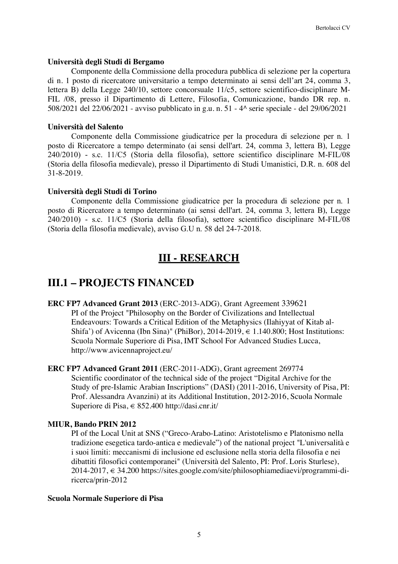### **Università degli Studi di Bergamo**

Componente della Commissione della procedura pubblica di selezione per la copertura di n. 1 posto di ricercatore universitario a tempo determinato ai sensi dell'art 24, comma 3, lettera B) della Legge 240/10, settore concorsuale 11/c5, settore scientifico-disciplinare M-FIL /08, presso il Dipartimento di Lettere, Filosofia, Comunicazione, bando DR rep. n. 508/2021 del 22/06/2021 - avviso pubblicato in g.u. n. 51 - 4^ serie speciale - del 29/06/2021

### **Università del Salento**

Componente della Commissione giudicatrice per la procedura di selezione per n. 1 posto di Ricercatore a tempo determinato (ai sensi dell'art. 24, comma 3, lettera B), Legge 240/2010) - s.c. 11/C5 (Storia della filosofia), settore scientifico disciplinare M-FIL/08 (Storia della filosofia medievale), presso il Dipartimento di Studi Umanistici, D.R. n. 608 del 31-8-2019.

### **Università degli Studi di Torino**

Componente della Commissione giudicatrice per la procedura di selezione per n. 1 posto di Ricercatore a tempo determinato (ai sensi dell'art. 24, comma 3, lettera B), Legge 240/2010) - s.c. 11/C5 (Storia della filosofia), settore scientifico disciplinare M-FIL/08 (Storia della filosofia medievale), avviso G.U n. 58 del 24-7-2018.

# **III - RESEARCH**

# **III.1 – PROJECTS FINANCED**

- **ERC FP7 Advanced Grant 2013** (ERC-2013-ADG), Grant Agreement 339621 PI of the Project "Philosophy on the Border of Civilizations and Intellectual Endeavours: Towards a Critical Edition of the Metaphysics (Ilahiyyat of Kitab al-Shifa') of Avicenna (Ibn Sina)" (PhiBor), 2014-2019,  $\in$  1.140.800; Host Institutions: Scuola Normale Superiore di Pisa, IMT School For Advanced Studies Lucca, http://www.avicennaproject.eu/
- **ERC FP7 Advanced Grant 2011** (ERC-2011-ADG), Grant agreement 269774 Scientific coordinator of the technical side of the project "Digital Archive for the Study of pre-Islamic Arabian Inscriptions" (DASI) (2011-2016, University of Pisa, PI: Prof. Alessandra Avanzini) at its Additional Institution, 2012-2016, Scuola Normale Superiore di Pisa, € 852.400 http://dasi.cnr.it/

### **MIUR, Bando PRIN 2012**

PI of the Local Unit at SNS ("Greco-Arabo-Latino: Aristotelismo e Platonismo nella tradizione esegetica tardo-antica e medievale") of the national project "L'universalità e i suoi limiti: meccanismi di inclusione ed esclusione nella storia della filosofia e nei dibattiti filosofici contemporanei" (Università del Salento, PI: Prof. Loris Sturlese),  $2014-2017 \in 34.200$  https://sites.google.com/site/philosophiamediaevi/programmi-diricerca/prin-2012

### **Scuola Normale Superiore di Pisa**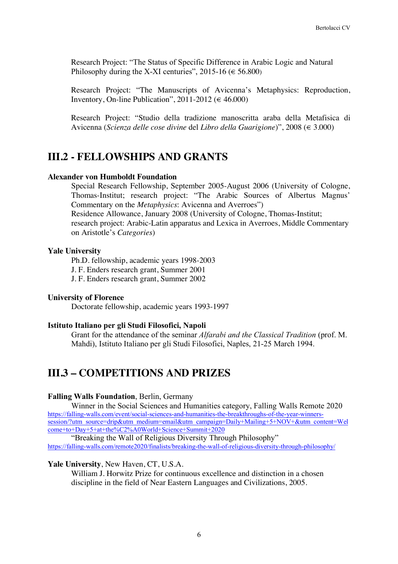Research Project: "The Status of Specific Difference in Arabic Logic and Natural Philosophy during the X-XI centuries", 2015-16 ( $\in$  56.800)

Research Project: "The Manuscripts of Avicenna's Metaphysics: Reproduction, Inventory, On-line Publication", 2011-2012 ( $\in$  46.000)

Research Project: "Studio della tradizione manoscritta araba della Metafisica di Avicenna (*Scienza delle cose divine* del *Libro della Guarigione*)", 2008 (€ 3.000)

### **III.2 - FELLOWSHIPS AND GRANTS**

#### **Alexander von Humboldt Foundation**

Special Research Fellowship, September 2005-August 2006 (University of Cologne, Thomas-Institut; research project: "The Arabic Sources of Albertus Magnus' Commentary on the *Metaphysics*: Avicenna and Averroes") Residence Allowance, January 2008 (University of Cologne, Thomas-Institut;

research project: Arabic-Latin apparatus and Lexica in Averroes, Middle Commentary on Aristotle's *Categories*)

### **Yale University**

Ph.D. fellowship, academic years 1998-2003

J. F. Enders research grant, Summer 2001

J. F. Enders research grant, Summer 2002

### **University of Florence**

Doctorate fellowship, academic years 1993-1997

#### **Istituto Italiano per gli Studi Filosofici, Napoli**

Grant for the attendance of the seminar *Alfarabi and the Classical Tradition* (prof. M. Mahdi), Istituto Italiano per gli Studi Filosofici, Naples, 21-25 March 1994.

### **III.3 – COMPETITIONS AND PRIZES**

#### **Falling Walls Foundation**, Berlin, Germany

Winner in the Social Sciences and Humanities category, Falling Walls Remote 2020 https://falling-walls.com/event/social-sciences-and-humanities-the-breakthroughs-of-the-year-winnerssession/?utm\_source=drip&utm\_medium=email&utm\_campaign=Daily+Mailing+5+NOV+&utm\_content=Wel come+to+Day+5+at+the%C2%A0World+Science+Summit+2020

"Breaking the Wall of Religious Diversity Through Philosophy" https://falling-walls.com/remote2020/finalists/breaking-the-wall-of-religious-diversity-through-philosophy/

#### **Yale University**, New Haven, CT, U.S.A.

William J. Horwitz Prize for continuous excellence and distinction in a chosen discipline in the field of Near Eastern Languages and Civilizations, 2005.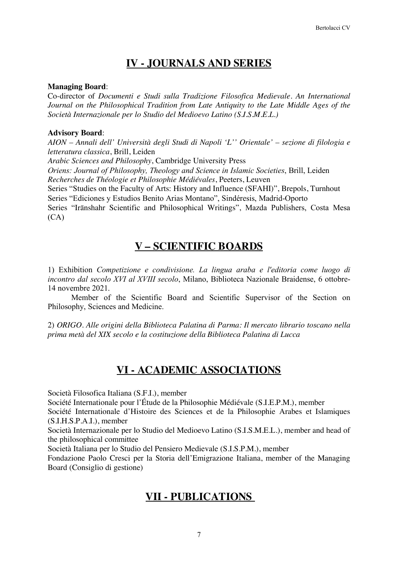# **IV - JOURNALS AND SERIES**

### **Managing Board**:

Co-director of *Documenti e Studi sulla Tradizione Filosofica Medievale. An International Journal on the Philosophical Tradition from Late Antiquity to the Late Middle Ages of the Società Internazionale per lo Studio del Medioevo Latino (S.I.S.M.E.L.)*

### **Advisory Board**:

*AION – Annali dell' Università degli Studi di Napoli 'L'' Orientale' – sezione di filologia e letteratura classica*, Brill, Leiden

*Arabic Sciences and Philosophy*, Cambridge University Press

*Oriens: Journal of Philosophy, Theology and Science in Islamic Societies*, Brill, Leiden *Recherches de Théologie et Philosophie Médiévales*, Peeters, Leuven

Series "Studies on the Faculty of Arts: History and Influence (SFAHI)", Brepols, Turnhout Series "Ediciones y Estudios Benito Arias Montano", Sindéresis, Madrid-Oporto

Series "Irānshahr Scientific and Philosophical Writings", Mazda Publishers, Costa Mesa  $(CA)$ 

## **V – SCIENTIFIC BOARDS**

1) Exhibition *Competizione e condivisione. La lingua araba e l'editoria come luogo di incontro dal secolo XVI al XVIII secolo*, Milano, Biblioteca Nazionale Braidense, 6 ottobre-14 novembre 2021.

Member of the Scientific Board and Scientific Supervisor of the Section on Philosophy, Sciences and Medicine.

2) *ORIGO. Alle origini della Biblioteca Palatina di Parma: Il mercato librario toscano nella prima metà del XIX secolo e la costituzione della Biblioteca Palatina di Lucca*

## **VI - ACADEMIC ASSOCIATIONS**

Società Filosofica Italiana (S.F.I.), member

Société Internationale pour l'Étude de la Philosophie Médiévale (S.I.E.P.M.), member

Société Internationale d'Histoire des Sciences et de la Philosophie Arabes et Islamiques (S.I.H.S.P.A.I.), member

Società Internazionale per lo Studio del Medioevo Latino (S.I.S.M.E.L.), member and head of the philosophical committee

Società Italiana per lo Studio del Pensiero Medievale (S.I.S.P.M.), member

Fondazione Paolo Cresci per la Storia dell'Emigrazione Italiana, member of the Managing Board (Consiglio di gestione)

## **VII - PUBLICATIONS**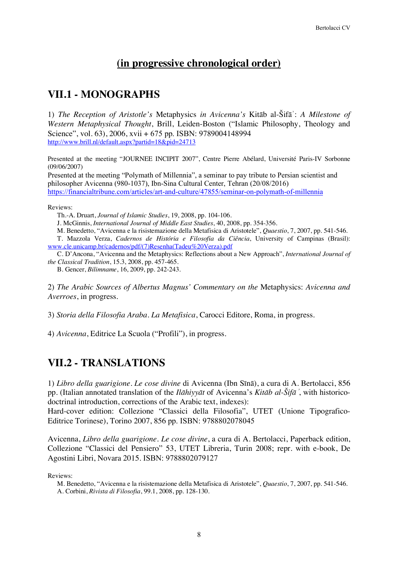## **(in progressive chronological order)**

# **VII.1 - MONOGRAPHS**

1) *The Reception of Aristotle's* Metaphysics *in Avicenna's* Kitāb al-Šifāʾ: *A Milestone of Western Metaphysical Thought*, Brill, Leiden-Boston ("Islamic Philosophy, Theology and Science", vol. 63), 2006, xvii + 675 pp. ISBN: 9789004148994 http://www.brill.nl/default.aspx?partid=18&pid=24713

Presented at the meeting "JOURNEE INCIPIT 2007", Centre Pierre Abélard, Université Paris-IV Sorbonne (09/06/2007)

Presented at the meeting "Polymath of Millennia", a seminar to pay tribute to Persian scientist and philosopher Avicenna (980-1037), Ibn-Sina Cultural Center, Tehran (20/08/2016) https://financialtribune.com/articles/art-and-culture/47855/seminar-on-polymath-of-millennia

Reviews:

Th.-A. Druart, *Journal of Islamic Studies*, 19, 2008, pp. 104-106.

J. McGinnis, *International Journal of Middle East Studies*, 40, 2008, pp. 354-356.

M. Benedetto, "Avicenna e la risistemazione della Metafisica di Aristotele", *Quaestio*, 7, 2007, pp. 541-546.

T. Mazzola Verza, *Cadernos de História e Filosofia da Ciência*, University of Campinas (Brasil): www.cle.unicamp.br/cadernos/pdf/(7)Resenha(Tadeu%20Verza).pdf

C. D'Ancona, "Avicenna and the Metaphysics: Reflections about a New Approach", *International Journal of the Classical Tradition*, 15.3, 2008, pp. 457-465.

B. Gencer, *Bilimname*, 16, 2009, pp. 242-243.

2) *The Arabic Sources of Albertus Magnus' Commentary on the* Metaphysics: *Avicenna and Averroes*, in progress.

3) *Storia della Filosofia Araba. La Metafisica*, Carocci Editore, Roma, in progress.

4) *Avicenna*, Editrice La Scuola ("Profili"), in progress.

# **VII.2 - TRANSLATIONS**

1) *Libro della guarigione. Le cose divine* di Avicenna (Ibn Sīnā), a cura di A. Bertolacci, 856 pp. (Italian annotated translation of the *Ilāhiyyāt* of Avicenna's *Kitāb al-Šifā*<sup>ʾ</sup>, with historicodoctrinal introduction, corrections of the Arabic text, indexes):

Hard-cover edition: Collezione "Classici della Filosofia", UTET (Unione Tipografico-Editrice Torinese), Torino 2007, 856 pp. ISBN: 9788802078045

Avicenna, *Libro della guarigione. Le cose divine*, a cura di A. Bertolacci, Paperback edition, Collezione "Classici del Pensiero" 53, UTET Libreria, Turin 2008; repr. with e-book, De Agostini Libri, Novara 2015. ISBN: 9788802079127

Reviews:

M. Benedetto, "Avicenna e la risistemazione della Metafisica di Aristotele", *Quaestio*, 7, 2007, pp. 541-546. A. Corbini, *Rivista di Filosofia*, 99.1, 2008, pp. 128-130.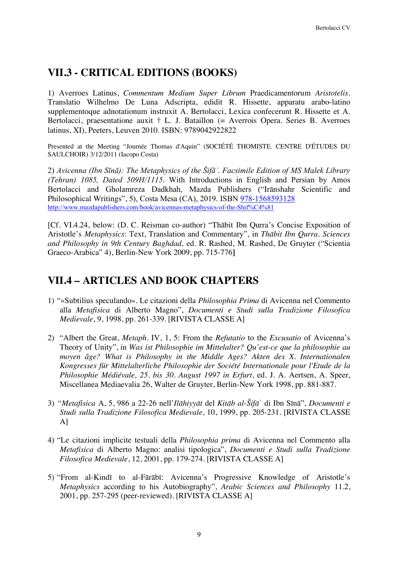### **VII.3 - CRITICAL EDITIONS (BOOKS)**

1) Averroes Latinus, *Commentum Medium Super Librum* Praedicamentorum *Aristotelis*. Translatio Wilhelmo De Luna Adscripta, edidit R. Hissette, apparatu arabo-latino supplementoque adnotationum instruxit A. Bertolacci, Lexica confecerunt R. Hissette et A. Bertolacci, praesentatione auxit † L. J. Bataillon (= Averrois Opera. Series B. Averroes latinus, XI), Peeters, Leuven 2010. ISBN: 9789042922822

Presented at the Meeting "Journée Thomas d'Aquin" (SOCIÉTÉ THOMISTE. CENTRE D'ÉTUDES DU SAULCHOIR) 3/12/2011 (Iacopo Costa)

2) *Avicenna (Ibn Sīnā): The Metaphysics of the Šifāʾ. Facsimile Edition of MS Malek Library (Tehran) 1085, Dated 509H/1115*. With Introductions in English and Persian by Amos Bertolacci and Gholamreza Dadkhah, Mazda Publishers ("Irānshahr Scientific and Philosophical Writings", 5), Costa Mesa (CA), 2019. ISBN 978-1568593128 http://www.mazdapublishers.com/book/avicennas-metaphysics-of-the-Shif%C4%81

[Cf. VI.4.24, below: (D. C. Reisman co-author) "Thābit Ibn Qurra's Concise Exposition of Aristotle's *Metaphysics*: Text, Translation and Commentary", in *Thābit Ibn Qurra. Sciences and Philosophy in 9th Century Baghdad,* ed. R. Rashed, M. Rashed, De Gruyter ("Scientia Graeco-Arabica" 4), Berlin-New York 2009, pp. 715-776**]**

## **VII.4 – ARTICLES AND BOOK CHAPTERS**

- 1) "«Subtilius speculando». Le citazioni della *Philosophia Prima* di Avicenna nel Commento alla *Metafisica* di Alberto Magno", *Documenti e Studi sulla Tradizione Filosofica Medievale*, 9, 1998, pp. 261-339. [RIVISTA CLASSE A]
- 2) "Albert the Great, *Metaph*. IV, 1, 5: From the *Refutatio* to the *Excusatio* of Avicenna's Theory of Unity", in *Was ist Philosophie im Mittelalter? Qu'est-ce que la philosophie au moyen âge? What is Philosophy in the Middle Ages? Akten des X. Internationalen Kongresses für Mittelalterliche Philosophie der Société Internationale pour l'Etude de la Philosophie Médiévale, 25. bis 30. August 1997 in Erfurt*, ed. J. A. Aertsen, A. Speer, Miscellanea Mediaevalia 26, Walter de Gruyter, Berlin-New York 1998, pp. 881-887.
- 3) *"Metafisica* A, 5, 986 a 22-26 nell'*Ilāhiyyāt* del *Kitāb al-Šifā*ʾ di Ibn Sīnā", *Documenti e Studi sulla Tradizione Filosofica Medievale*, 10, 1999, pp. 205-231. [RIVISTA CLASSE A]
- 4) "Le citazioni implicite testuali della *Philosophia prima* di Avicenna nel Commento alla *Metafisica* di Alberto Magno: analisi tipologica", *Documenti e Studi sulla Tradizione Filosofica Medievale*, 12, 2001, pp. 179-274. [RIVISTA CLASSE A]
- 5) "From al-Kindī to al-Fārābī: Avicenna's Progressive Knowledge of Aristotle's *Metaphysics* according to his Autobiography", *Arabic Sciences and Philosophy* 11.2, 2001, pp. 257-295 (peer-reviewed). [RIVISTA CLASSE A]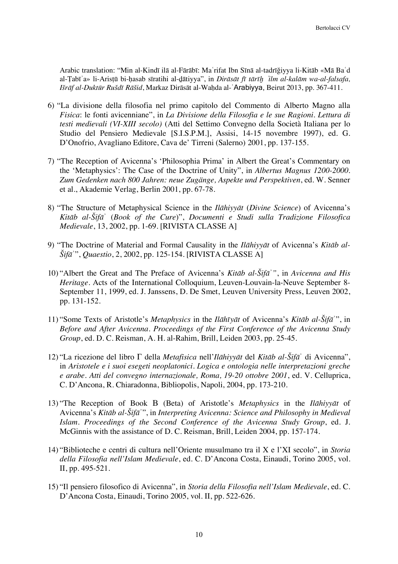Arabic translation: "Min al-Kindī ilā al-Fārābī: Maʿrifat Ibn Sīnā al-tadrīǧiyya li-Kitāb «Mā Baʿd al-Ṭabīʾa» li-Arisṭū bi-ḥasab sīratihi al-ḏātiyya", in *Dirāsāt fī tārīḫ* <sup>ʿ</sup>*ilm al-kalām wa-al-falsafa, Išrāf al-Duktūr Rušdī Rāšid*, Markaz Dirāsāt al-Waḥda al-ʿArabiyya, Beirut 2013, pp. 367-411.

- 6) "La divisione della filosofia nel primo capitolo del Commento di Alberto Magno alla *Fisica*: le fonti avicenniane", in *La Divisione della Filosofia e le sue Ragioni. Lettura di testi medievali (VI-XIII secolo)* (Atti del Settimo Convegno della Società Italiana per lo Studio del Pensiero Medievale [S.I.S.P.M.], Assisi, 14-15 novembre 1997), ed. G. D'Onofrio, Avagliano Editore, Cava de' Tirreni (Salerno) 2001, pp. 137-155.
- 7) "The Reception of Avicenna's 'Philosophia Prima' in Albert the Great's Commentary on the 'Metaphysics': The Case of the Doctrine of Unity", in *Albertus Magnus 1200-2000. Zum Gedenken nach 800 Jahren: neue Zugänge, Aspekte und Perspektiven*, ed. W. Senner et al., Akademie Verlag, Berlin 2001, pp. 67-78.
- 8) "The Structure of Metaphysical Science in the *Ilāhiyyāt* (*Divine Science*) of Avicenna's *Kitāb al-Šifā*ʾ (*Book of the Cure*)", *Documenti e Studi sulla Tradizione Filosofica Medievale*, 13, 2002, pp. 1-69. [RIVISTA CLASSE A]
- 9) "The Doctrine of Material and Formal Causality in the *Ilāhiyyāt* of Avicenna's *Kitāb al-Šifā*ʾ", *Quaestio*, 2, 2002, pp. 125-154. [RIVISTA CLASSE A]
- 10) "Albert the Great and The Preface of Avicenna's *Kitāb al-Šifā*ʾ*"*, in *Avicenna and His Heritage*. Acts of the International Colloquium, Leuven-Louvain-la-Neuve September 8- September 11, 1999, ed. J. Janssens, D. De Smet, Leuven University Press, Leuven 2002, pp. 131-152.
- 11) "Some Texts of Aristotle's *Metaphysics* in the *Ilāhīyāt* of Avicenna's *Kitāb al-Šifā*ʾ", in *Before and After Avicenna*. *Proceedings of the First Conference of the Avicenna Study Group*, ed. D. C. Reisman, A. H. al-Rahim, Brill, Leiden 2003, pp. 25-45.
- 12) "La ricezione del libro Γ della *Metafisica* nell'*Ilāhiyyāt* del *Kitāb al-Šifā*ʾ di Avicenna", in *Aristotele e i suoi esegeti neoplatonici. Logica e ontologia nelle interpretazioni greche e arabe*. *Atti del convegno internazionale, Roma, 19-20 ottobre 2001*, ed. V. Celluprica, C. D'Ancona, R. Chiaradonna, Bibliopolis, Napoli, 2004, pp. 173-210.
- 13) "The Reception of Book Β (Beta) of Aristotle's *Metaphysics* in the *Ilāhiyyāt* of Avicenna's *Kitāb al-Šifā*ʾ", in *Interpreting Avicenna: Science and Philosophy in Medieval Islam. Proceedings of the Second Conference of the Avicenna Study Group*, ed. J. McGinnis with the assistance of D. C. Reisman, Brill, Leiden 2004, pp. 157-174.
- 14) "Biblioteche e centri di cultura nell'Oriente musulmano tra il X e l'XI secolo", in *Storia della Filosofia nell'Islam Medievale*, ed. C. D'Ancona Costa, Einaudi, Torino 2005, vol. II, pp. 495-521.
- 15) "Il pensiero filosofico di Avicenna", in *Storia della Filosofia nell'Islam Medievale*, ed. C. D'Ancona Costa, Einaudi, Torino 2005, vol. II, pp. 522-626.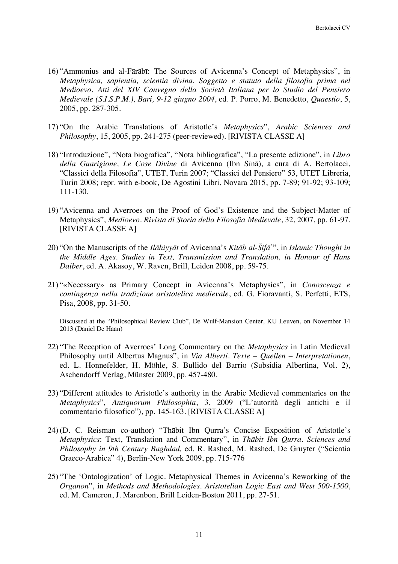- 16) "Ammonius and al-Fārābī: The Sources of Avicenna's Concept of Metaphysics", in *Metaphysica, sapientia, scientia divina. Soggetto e statuto della filosofia prima nel Medioevo. Atti del XIV Convegno della Società Italiana per lo Studio del Pensiero Medievale (S.I.S.P.M.), Bari, 9-12 giugno 2004*, ed. P. Porro, M. Benedetto, *Quaestio*, 5, 2005, pp. 287-305.
- 17) "On the Arabic Translations of Aristotle's *Metaphysics*", *Arabic Sciences and Philosophy*, 15, 2005, pp. 241-275 (peer-reviewed). [RIVISTA CLASSE A]
- 18) "Introduzione", "Nota biografica", "Nota bibliografica", "La presente edizione", in *Libro della Guarigione, Le Cose Divine* di Avicenna (Ibn Sīnā), a cura di A. Bertolacci, "Classici della Filosofia", UTET, Turin 2007; "Classici del Pensiero" 53, UTET Libreria, Turin 2008; repr. with e-book, De Agostini Libri, Novara 2015, pp. 7-89; 91-92; 93-109; 111-130.
- 19) "Avicenna and Averroes on the Proof of God's Existence and the Subject-Matter of Metaphysics", *Medioevo. Rivista di Storia della Filosofia Medievale*, 32, 2007, pp. 61-97. [RIVISTA CLASSE A]
- 20) "On the Manuscripts of the *Ilāhiyyāt* of Avicenna's *Kitāb al-Šifā*ʾ", in *Islamic Thought in the Middle Ages. Studies in Text, Transmission and Translation, in Honour of Hans Daiber*, ed. A. Akasoy, W. Raven, Brill, Leiden 2008, pp. 59-75.
- 21) "«Necessary» as Primary Concept in Avicenna's Metaphysics", in *Conoscenza e contingenza nella tradizione aristotelica medievale*, ed. G. Fioravanti, S. Perfetti, ETS, Pisa, 2008, pp. 31-50.

Discussed at the "Philosophical Review Club", De Wulf-Mansion Center, KU Leuven, on November 14 2013 (Daniel De Haan)

- 22) "The Reception of Averroes' Long Commentary on the *Metaphysics* in Latin Medieval Philosophy until Albertus Magnus", in *Via Alberti. Texte – Quellen – Interpretationen*, ed. L. Honnefelder, H. Möhle, S. Bullido del Barrio (Subsidia Albertina, Vol. 2), Aschendorff Verlag, Münster 2009, pp. 457-480.
- 23) "Different attitudes to Aristotle's authority in the Arabic Medieval commentaries on the *Metaphysics*", *Antiquorum Philosophia*, 3, 2009 ("L'autorità degli antichi e il commentario filosofico"), pp. 145-163. [RIVISTA CLASSE A]
- 24) (D. C. Reisman co-author) "Thābit Ibn Qurra's Concise Exposition of Aristotle's *Metaphysics*: Text, Translation and Commentary", in *Thābit Ibn Qurra. Sciences and Philosophy in 9th Century Baghdad,* ed. R. Rashed, M. Rashed, De Gruyter ("Scientia Graeco-Arabica" 4), Berlin-New York 2009, pp. 715-776
- 25) "The 'Ontologization' of Logic. Metaphysical Themes in Avicenna's Reworking of the *Organon*", in *Methods and Methodologies. Aristotelian Logic East and West 500-1500*, ed. M. Cameron, J. Marenbon, Brill Leiden-Boston 2011, pp. 27-51.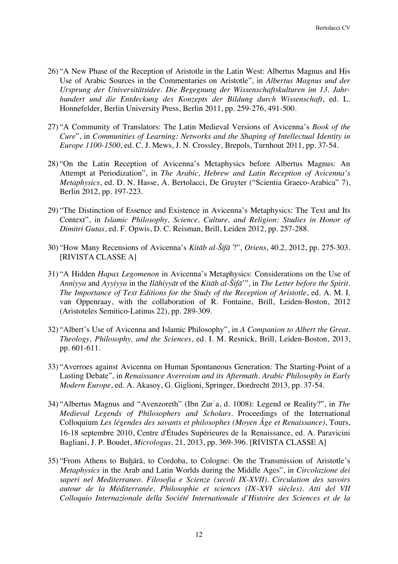- 26) "A New Phase of the Reception of Aristotle in the Latin West: Albertus Magnus and His Use of Arabic Sources in the Commentaries on Aristotle", in *Albertus Magnus und der Ursprung der Universitätsidee. Die Begegnung der Wissenschaftskulturen im 13. Jahrhundert und die Entdeckung des Konzepts der Bildung durch Wissenschaft*, ed. L. Honnefelder, Berlin University Press, Berlin 2011, pp. 259-276, 491-500.
- 27) "A Community of Translators: The Latin Medieval Versions of Avicenna's *Book of the Cure*", in *Communities of Learning: Networks and the Shaping of Intellectual Identity in Europe 1100-1500*, ed. C. J. Mews, J. N. Crossley, Brepols, Turnhout 2011, pp. 37-54.
- 28) "On the Latin Reception of Avicenna's Metaphysics before Albertus Magnus: An Attempt at Periodization", in *The Arabic, Hebrew and Latin Reception of Avicenna's Metaphysics*, ed. D. N. Hasse, A. Bertolacci, De Gruyter ("Scientia Graeco-Arabica" 7), Berlin 2012, pp. 197-223.
- 29) "The Distinction of Essence and Existence in Avicenna's Metaphysics: The Text and Its Context", in *Islamic Philosophy, Science, Culture, and Religion: Studies in Honor of Dimitri Gutas*, ed. F. Opwis, D. C. Reisman, Brill, Leiden 2012, pp. 257-288.
- 30) "How Many Recensions of Avicenna's *Kitāb al-Šifā*<sup>ʾ</sup>?", *Oriens*, 40.2, 2012, pp. 275-303. [RIVISTA CLASSE A]
- 31) "A Hidden *Hapax Legomenon* in Avicenna's Metaphysics: Considerations on the Use of *Anniyya* and *Ayyiyya* in the *Ilāhiyyāt* of the *Kitāb al-Šifā*'", in *The Letter before the Spirit. The Importance of Text Editions for the Study of the Reception of Aristotle*, ed. A. M. I. van Oppenraay, with the collaboration of R. Fontaine, Brill, Leiden-Boston, 2012 (Aristoteles Semitico-Latinus 22), pp. 289-309.
- 32) "Albert's Use of Avicenna and Islamic Philosophy", in *A Companion to Albert the Great. Theology, Philosophy, and the Sciences*, ed. I. M. Resnick, Brill, Leiden-Boston, 2013, pp. 601-611.
- 33) "Averroes against Avicenna on Human Spontaneous Generation: The Starting-Point of a Lasting Debate", in *Renaissance Averroism and its Aftermath. Arabic Philosophy in Early Modern Europe*, ed. A. Akasoy, G. Giglioni, Springer, Dordrecht 2013, pp. 37-54.
- 34) "Albertus Magnus and "Avenzoreth" (Ibn Zurʿa, d. 1008): Legend or Reality?", in *The Medieval Legends of Philosophers and Scholars.* Proceedings of the International Colloquium *Les légendes des savants et philosophes (Moyen Âge et Renaissance)*, Tours, 16-18 septembre 2010, Centre d'Études Supérieures de la Renaissance, ed. A. Paravicini Bagliani, J. P. Boudet, *Micrologus*, 21, 2013, pp. 369-396. [RIVISTA CLASSE A]
- 35) "From Athens to Buḫārā, to Cordoba, to Cologne: On the Transmission of Aristotle's *Metaphysics* in the Arab and Latin Worlds during the Middle Ages", in *Circolazione dei saperi nel Mediterraneo. Filosofia e Scienze (secoli IX-XVII). Circulation des savoirs autour de la Méditerranée. Philosophie et sciences (IXe -XVIe siècles). Atti del VII Colloquio Internazionale della Société Internationale d'Histoire des Sciences et de la*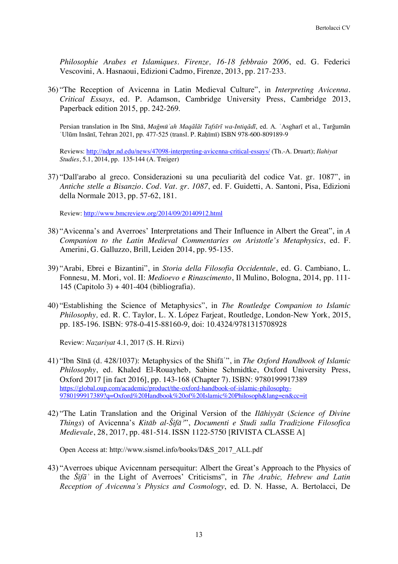*Philosophie Arabes et Islamiques. Firenze, 16-18 febbraio 2006*, ed. G. Federici Vescovini, A. Hasnaoui, Edizioni Cadmo, Firenze, 2013, pp. 217-233.

36) "The Reception of Avicenna in Latin Medieval Culture", in *Interpreting Avicenna. Critical Essays*, ed. P. Adamson, Cambridge University Press, Cambridge 2013, Paperback edition 2015, pp. 242-269.

Persian translation in Ibn Sīnā, *Maǧmūʿah Maqālāt Tafsīrī wa-Intiqādī*, ed. A. ʿAsgharī et al., Tarǧumān ʿUlūm Insānī, Tehran 2021, pp. 477-525 (transl. P. Raḥīmī) ISBN 978-600-809189-9

Reviews: http://ndpr.nd.edu/news/47098-interpreting-avicenna-critical-essays/ (Th.-A. Druart); *Ilahiyat Studies*, 5.1, 2014, pp. 135-144 (A. Treiger)

37) "Dall'arabo al greco. Considerazioni su una peculiarità del codice Vat. gr. 1087", in *Antiche stelle a Bisanzio. Cod. Vat. gr. 1087*, ed. F. Guidetti, A. Santoni, Pisa, Edizioni della Normale 2013, pp. 57-62, 181.

Review: http://www.bmcreview.org/2014/09/20140912.html

- 38) "Avicenna's and Averroes' Interpretations and Their Influence in Albert the Great", in *A Companion to the Latin Medieval Commentaries on Aristotle's Metaphysics*, ed. F. Amerini, G. Galluzzo, Brill, Leiden 2014, pp. 95-135.
- 39) "Arabi, Ebrei e Bizantini", in *Storia della Filosofia Occidentale*, ed. G. Cambiano, L. Fonnesu, M. Mori, vol. II: *Medioevo e Rinascimento*, Il Mulino, Bologna, 2014, pp. 111- 145 (Capitolo 3) + 401-404 (bibliografia).
- 40) "Establishing the Science of Metaphysics", in *The Routledge Companion to Islamic Philosophy,* ed. R. C. Taylor, L. X. López Farjeat, Routledge, London-New York, 2015, pp. 185-196. ISBN: 978-0-415-88160-9, doi: 10.4324/9781315708928

Review: *Nazariyat* 4.1, 2017 (S. H. Rizvi)

- 41) "Ibn Sīnā (d. 428/1037): Metaphysics of the Shifāʾ", in *The Oxford Handbook of Islamic Philosophy*, ed. Khaled El-Rouayheb, Sabine Schmidtke, Oxford University Press, Oxford 2017 [in fact 2016], pp. 143-168 (Chapter 7). ISBN: 9780199917389 https://global.oup.com/academic/product/the-oxford-handbook-of-islamic-philosophy-9780199917389?q=Oxford%20Handbook%20of%20Islamic%20Philosoph&lang=en&cc=it
- 42) "The Latin Translation and the Original Version of the *Ilāhiyyāt* (*Science of Divine Things*) of Avicenna's *Kitāb al-Šifāʾ*", *Documenti e Studi sulla Tradizione Filosofica Medievale*, 28, 2017, pp. 481-514. ISSN 1122-5750 [RIVISTA CLASSE A]

Open Access at: http://www.sismel.info/books/D&S\_2017\_ALL.pdf

43) "Averroes ubique Avicennam persequitur: Albert the Great's Approach to the Physics of the *Šifāʾ* in the Light of Averroes' Criticisms", in *The Arabic, Hebrew and Latin Reception of Avicenna's Physics and Cosmology*, ed. D. N. Hasse, A. Bertolacci, De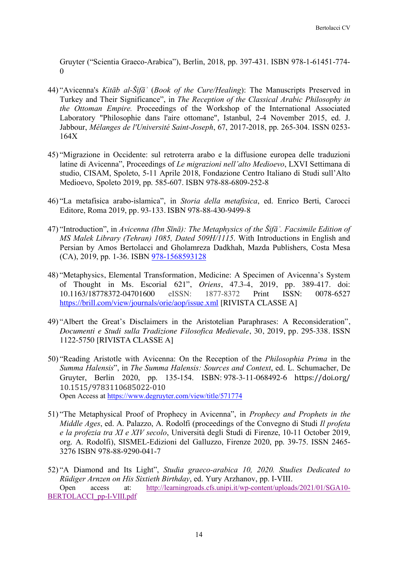Gruyter ("Scientia Graeco-Arabica"), Berlin, 2018, pp. 397-431. ISBN 978-1-61451-774-  $\theta$ 

- 44) "Avicenna's *Kitāb al-Šifāʾ* (*Book of the Cure/Healing*): The Manuscripts Preserved in Turkey and Their Significance", in *The Reception of the Classical Arabic Philosophy in the Ottoman Empire.* Proceedings of the Workshop of the International Associated Laboratory "Philosophie dans l'aire ottomane", Istanbul, 2-4 November 2015, ed. J. Jabbour, *Mélanges de l'Université Saint-Joseph*, 67, 2017-2018, pp. 265-304. ISSN 0253- 164X
- 45) "Migrazione in Occidente: sul retroterra arabo e la diffusione europea delle traduzioni latine di Avicenna", Proceedings of *Le migrazioni nell'alto Medioevo*, LXVI Settimana di studio, CISAM, Spoleto, 5-11 Aprile 2018, Fondazione Centro Italiano di Studi sull'Alto Medioevo, Spoleto 2019, pp. 585-607. ISBN 978-88-6809-252-8
- 46) "La metafisica arabo-islamica", in *Storia della metafisica*, ed. Enrico Berti, Carocci Editore, Roma 2019, pp. 93-133. ISBN 978-88-430-9499-8
- 47) "Introduction", in *Avicenna (Ibn Sīnā): The Metaphysics of the Šifāʾ. Facsimile Edition of MS Malek Library (Tehran) 1085, Dated 509H/1115*. With Introductions in English and Persian by Amos Bertolacci and Gholamreza Dadkhah, Mazda Publishers, Costa Mesa (CA), 2019, pp. 1-36. ISBN 978-1568593128
- 48) "Metaphysics, Elemental Transformation, Medicine: A Specimen of Avicenna's System of Thought in Ms. Escorial 621", *Oriens*, 47.3-4, 2019, pp. 389-417. doi: 10.1163/18778372-04701600 eISSN: 1877-8372 Print ISSN: 0078-6527 https://brill.com/view/journals/orie/aop/issue.xml [RIVISTA CLASSE A]
- 49) "Albert the Great's Disclaimers in the Aristotelian Paraphrases: A Reconsideration", *Documenti e Studi sulla Tradizione Filosofica Medievale*, 30, 2019, pp. 295-338. ISSN 1122-5750 [RIVISTA CLASSE A]
- 50) "Reading Aristotle with Avicenna: On the Reception of the *Philosophia Prima* in the *Summa Halensis*", in *The Summa Halensis: Sources and Context*, ed. L. Schumacher, De Gruyter, Berlin 2020, pp. 135-154. ISBN: 978-3-11-068492-6 https://doi.org/ 10.1515/9783110685022-010 Open Access at https://www.degruyter.com/view/title/571774
- 51) "The Metaphysical Proof of Prophecy in Avicenna", in *Prophecy and Prophets in the Middle Ages*, ed. A. Palazzo, A. Rodolfi (proceedings of the Convegno di Studi *Il profeta e la profezia tra XI e XIV secolo*, Università degli Studi di Firenze, 10-11 October 2019, org. A. Rodolfi), SISMEL-Edizioni del Galluzzo, Firenze 2020, pp. 39-75. ISSN 2465- 3276 ISBN 978-88-9290-041-7
- 52) "A Diamond and Its Light", *Studia graeco-arabica 10, 2020. Studies Dedicated to Rüdiger Arnzen on His Sixtieth Birthday*, ed. Yury Arzhanov, pp. I-VIII. Open access at: http://learningroads.cfs.unipi.it/wp-content/uploads/2021/01/SGA10- BERTOLACCI\_pp-I-VIII.pdf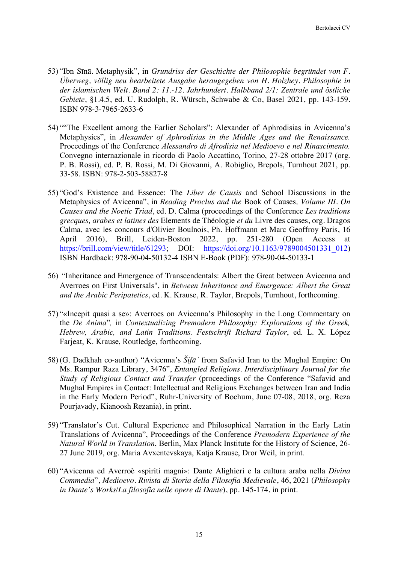- 53) "Ibn Sīnā. Metaphysik", in *Grundriss der Geschichte der Philosophie begründet von F. Überweg, völlig neu bearbeitete Ausgabe heraugegeben von H. Holzhey. Philosophie in der islamischen Welt. Band 2: 11.-12. Jahrhundert. Halbband 2/1: Zentrale und östliche Gebiete*, §1.4.5, ed. U. Rudolph, R. Würsch, Schwabe & Co, Basel 2021, pp. 143-159. ISBN 978-3-7965-2633-6
- 54) ""The Excellent among the Earlier Scholars": Alexander of Aphrodisias in Avicenna's Metaphysics", in *Alexander of Aphrodisias in the Middle Ages and the Renaissance.*  Proceedings of the Conference *Alessandro di Afrodisia nel Medioevo e nel Rinascimento.* Convegno internazionale in ricordo di Paolo Accattino*,* Torino, 27-28 ottobre 2017 (org. P. B. Rossi), ed. P. B. Rossi, M. Di Giovanni, A. Robiglio, Brepols, Turnhout 2021, pp. 33-58. ISBN: 978-2-503-58827-8
- 55) "God's Existence and Essence: The *Liber de Causis* and School Discussions in the Metaphysics of Avicenna", in *Reading Proclus and the* Book of Causes*, Volume III. On Causes and the Noetic Triad*, ed. D. Calma (proceedings of the Conference *Les traditions grecques, arabes et latines des* Elements de Théologie *et du* Livre des causes, org. Dragos Calma, avec les concours d'Olivier Boulnois, Ph. Hoffmann et Marc Geoffroy Paris, 16 April 2016), Brill, Leiden-Boston 2022, pp. 251-280 (Open Access at https://brill.com/view/title/61293; DOI: https://doi.org/10.1163/9789004501331\_012) ISBN Hardback: 978-90-04-50132-4 ISBN E-Book (PDF): 978-90-04-50133-1
- 56) "Inheritance and Emergence of Transcendentals: Albert the Great between Avicenna and Averroes on First Universals", in *Between Inheritance and Emergence: Albert the Great and the Arabic Peripatetics*, ed. K. Krause, R. Taylor, Brepols, Turnhout, forthcoming.
- 57) "«Incepit quasi a se»: Averroes on Avicenna's Philosophy in the Long Commentary on the *De Anima*"*,* in *Contextualizing Premodern Philosophy: Explorations of the Greek, Hebrew, Arabic, and Latin Traditions. Festschrift Richard Taylor*, ed. L. X. López Farjeat, K. Krause, Routledge, forthcoming.
- 58) (G. Dadkhah co-author) "Avicenna's *Šifāʾ* from Safavid Iran to the Mughal Empire: On Ms. Rampur Raza Library, 3476", *Entangled Religions. Interdisciplinary Journal for the Study of Religious Contact and Transfer* (proceedings of the Conference "Safavid and Mughal Empires in Contact: Intellectual and Religious Exchanges between Iran and India in the Early Modern Period", Ruhr-University of Bochum, June 07-08, 2018, org. Reza Pourjavady, Kianoosh Rezania), in print.
- 59) "Translator's Cut. Cultural Experience and Philosophical Narration in the Early Latin Translations of Avicenna", Proceedings of the Conference *Premodern Experience of the Natural World in Translation*, Berlin, Max Planck Institute for the History of Science, 26- 27 June 2019, org. Maria Avxentevskaya, Katja Krause, Dror Weil, in print.
- 60) "Avicenna ed Averroè «spiriti magni»: Dante Alighieri e la cultura araba nella *Divina Commedia*", *Medioevo. Rivista di Storia della Filosofia Medievale*, 46, 2021 (*Philosophy in Dante's Works/La filosofia nelle opere di Dante*), pp. 145-174, in print.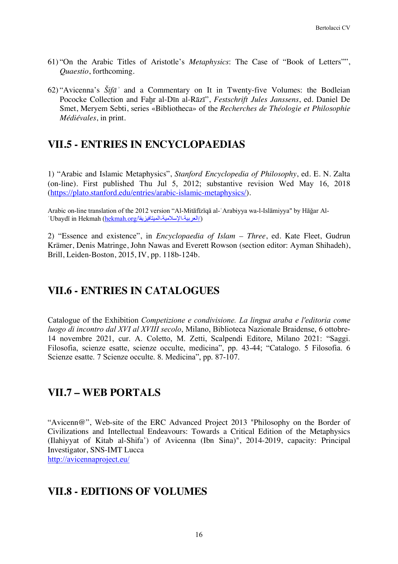- 61) "On the Arabic Titles of Aristotle's *Metaphysics*: The Case of "Book of Letters"", *Quaestio*, forthcoming.
- 62) "Avicenna's *Šifāʾ* and a Commentary on It in Twenty-five Volumes: the Bodleian Pococke Collection and Faḫr al-Dīn al-Rāzī", *Festschrift Jules Janssens*, ed. Daniel De Smet, Meryem Sebti, series «Bibliotheca» of the *Recherches de Théologie et Philosophie Médiévales*, in print.

# **VII.5 - ENTRIES IN ENCYCLOPAEDIAS**

1) "Arabic and Islamic Metaphysics", *Stanford Encyclopedia of Philosophy*, ed. E. N. Zalta (on-line). First published Thu Jul 5, 2012; substantive revision Wed May 16, 2018 (https://plato.stanford.edu/entries/arabic-islamic-metaphysics/).

Arabic on-line translation of the 2012 version "Al-Mitāfīzīqā al-ʿArabiyya wa-l-Islāmiyya" by Hāǧar Al-'Ubaydī in Hekmah (hekmah.org/ألعربية-الإسلامية-الميتافيزيقا/)

2) "Essence and existence", in *Encyclopaedia of Islam – Three*, ed. Kate Fleet, Gudrun Krämer, Denis Matringe, John Nawas and Everett Rowson (section editor: Ayman Shihadeh), Brill, Leiden-Boston, 2015, IV, pp. 118b-124b.

## **VII.6 - ENTRIES IN CATALOGUES**

Catalogue of the Exhibition *Competizione e condivisione. La lingua araba e l'editoria come luogo di incontro dal XVI al XVIII secolo*, Milano, Biblioteca Nazionale Braidense, 6 ottobre-14 novembre 2021, cur. A. Coletto, M. Zetti, Scalpendi Editore, Milano 2021: "Saggi. Filosofia, scienze esatte, scienze occulte, medicina", pp. 43-44; "Catalogo. 5 Filosofia. 6 Scienze esatte. 7 Scienze occulte. 8. Medicina", pp. 87-107.

## **VII.7 – WEB PORTALS**

"Avicenn@", Web-site of the ERC Advanced Project 2013 "Philosophy on the Border of Civilizations and Intellectual Endeavours: Towards a Critical Edition of the Metaphysics (Ilahiyyat of Kitab al-Shifa') of Avicenna (Ibn Sina)", 2014-2019, capacity: Principal Investigator, SNS-IMT Lucca http://avicennaproject.eu/

## **VII.8 - EDITIONS OF VOLUMES**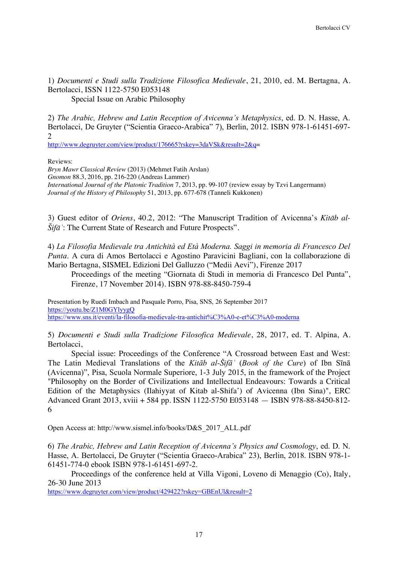1) *Documenti e Studi sulla Tradizione Filosofica Medievale*, 21, 2010, ed. M. Bertagna, A. Bertolacci, ISSN 1122-5750 E053148 Special Issue on Arabic Philosophy

2) *The Arabic, Hebrew and Latin Reception of Avicenna's Metaphysics*, ed. D. N. Hasse, A. Bertolacci, De Gruyter ("Scientia Graeco-Arabica" 7), Berlin, 2012. ISBN 978-1-61451-697- 2

http://www.degruyter.com/view/product/176665?rskey=3daVSk&result=2&q=

Reviews:

*Bryn Mawr Classical Review* (2013) (Mehmet Fatih Arslan) *Gnomon* 88.3, 2016, pp. 216-220 (Andreas Lammer) *International Journal of the Platonic Tradition* 7, 2013, pp. 99-107 (review essay by Tzvi Langermann) *Journal of the History of Philosophy* 51, 2013, pp. 677-678 (Tanneli Kukkonen)

3) Guest editor of *Oriens*, 40.2, 2012: "The Manuscript Tradition of Avicenna's *Kitāb al-Šifāʾ*: The Current State of Research and Future Prospects".

4) *La Filosofia Medievale tra Antichità ed Età Moderna. Saggi in memoria di Francesco Del Punta*. A cura di Amos Bertolacci e Agostino Paravicini Bagliani, con la collaborazione di Mario Bertagna, SISMEL Edizioni Del Galluzzo ("Medii Aevi"), Firenze 2017

Proceedings of the meeting "Giornata di Studi in memoria di Francesco Del Punta", Firenze, 17 November 2014). ISBN 978-88-8450-759-4

Presentation by Ruedi Imbach and Pasquale Porro, Pisa, SNS, 26 September 2017 https://youtu.be/Z1M0GYlyygQ https://www.sns.it/eventi/la-filosofia-medievale-tra-antichit%C3%A0-e-et%C3%A0-moderna

5) *Documenti e Studi sulla Tradizione Filosofica Medievale*, 28, 2017, ed. T. Alpina, A. Bertolacci,

Special issue: Proceedings of the Conference "A Crossroad between East and West: The Latin Medieval Translations of the *Kitāb al-Šifāʾ* (*Book of the Cure*) of Ibn Sīnā (Avicenna)", Pisa, Scuola Normale Superiore, 1-3 July 2015, in the framework of the Project "Philosophy on the Border of Civilizations and Intellectual Endeavours: Towards a Critical Edition of the Metaphysics (Ilahiyyat of Kitab al-Shifa') of Avicenna (Ibn Sina)", ERC Advanced Grant 2013, xviii + 584 pp. ISSN 1122-5750 E053148 — ISBN 978-88-8450-812- 6

Open Access at: http://www.sismel.info/books/D&S\_2017\_ALL.pdf

6) *The Arabic, Hebrew and Latin Reception of Avicenna's Physics and Cosmology*, ed. D. N. Hasse, A. Bertolacci, De Gruyter ("Scientia Graeco-Arabica" 23), Berlin, 2018. ISBN 978-1- 61451-774-0 ebook ISBN 978-1-61451-697-2.

Proceedings of the conference held at Villa Vigoni, Loveno di Menaggio (Co), Italy, 26-30 June 2013

https://www.degruyter.com/view/product/429422?rskey=GBEnUl&result=2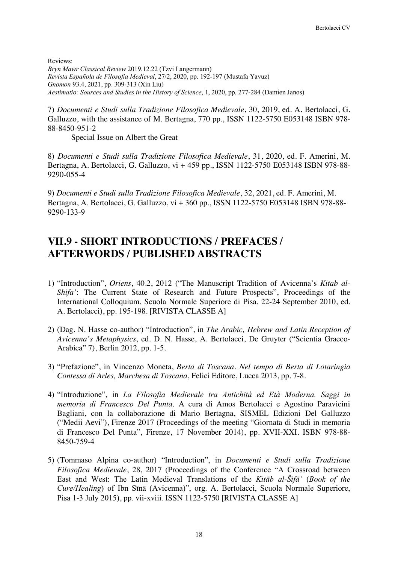Reviews:

*Bryn Mawr Classical Review* 2019.12.22 (Tzvi Langermann) *Revista Española de Filosofía Medieval*, 27/2, 2020, pp. 192-197 (Mustafa Yavuz) *Gnomon* 93.4, 2021, pp. 309-313 (Xin Liu) *Aestimatio: Sources and Studies in the History of Science*, 1, 2020, pp. 277-284 (Damien Janos)

7) *Documenti e Studi sulla Tradizione Filosofica Medievale*, 30, 2019, ed. A. Bertolacci, G. Galluzzo, with the assistance of M. Bertagna, 770 pp., ISSN 1122-5750 E053148 ISBN 978- 88-8450-951-2

Special Issue on Albert the Great

8) *Documenti e Studi sulla Tradizione Filosofica Medievale*, 31, 2020, ed. F. Amerini, M. Bertagna, A. Bertolacci, G. Galluzzo, vi + 459 pp., ISSN 1122-5750 E053148 ISBN 978-88- 9290-055-4

9) *Documenti e Studi sulla Tradizione Filosofica Medievale*, 32, 2021, ed. F. Amerini, M. Bertagna, A. Bertolacci, G. Galluzzo, vi + 360 pp., ISSN 1122-5750 E053148 ISBN 978-88- 9290-133-9

## **VII.9 - SHORT INTRODUCTIONS / PREFACES / AFTERWORDS / PUBLISHED ABSTRACTS**

- 1) "Introduction", *Oriens*, 40.2, 2012 ("The Manuscript Tradition of Avicenna's *Kitab al-Shifa'*: The Current State of Research and Future Prospects", Proceedings of the International Colloquium, Scuola Normale Superiore di Pisa, 22-24 September 2010, ed. A. Bertolacci), pp. 195-198. [RIVISTA CLASSE A]
- 2) (Dag. N. Hasse co-author) "Introduction", in *The Arabic, Hebrew and Latin Reception of Avicenna's Metaphysics*, ed. D. N. Hasse, A. Bertolacci, De Gruyter ("Scientia Graeco-Arabica" 7), Berlin 2012, pp. 1-5.
- 3) "Prefazione", in Vincenzo Moneta, *Berta di Toscana. Nel tempo di Berta di Lotaringia Contessa di Arles, Marchesa di Toscana*, Felici Editore, Lucca 2013, pp. 7-8.
- 4) "Introduzione", in *La Filosofia Medievale tra Antichità ed Età Moderna. Saggi in memoria di Francesco Del Punta*. A cura di Amos Bertolacci e Agostino Paravicini Bagliani, con la collaborazione di Mario Bertagna, SISMEL Edizioni Del Galluzzo ("Medii Aevi"), Firenze 2017 (Proceedings of the meeting "Giornata di Studi in memoria di Francesco Del Punta", Firenze, 17 November 2014), pp. XVII-XXI. ISBN 978-88- 8450-759-4
- 5) (Tommaso Alpina co-author) "Introduction", in *Documenti e Studi sulla Tradizione Filosofica Medievale*, 28, 2017 (Proceedings of the Conference "A Crossroad between East and West: The Latin Medieval Translations of the *Kitāb al-Šifāʾ* (*Book of the Cure/Healing*) of Ibn Sīnā (Avicenna)", org. A. Bertolacci, Scuola Normale Superiore, Pisa 1-3 July 2015), pp. vii-xviii. ISSN 1122-5750 [RIVISTA CLASSE A]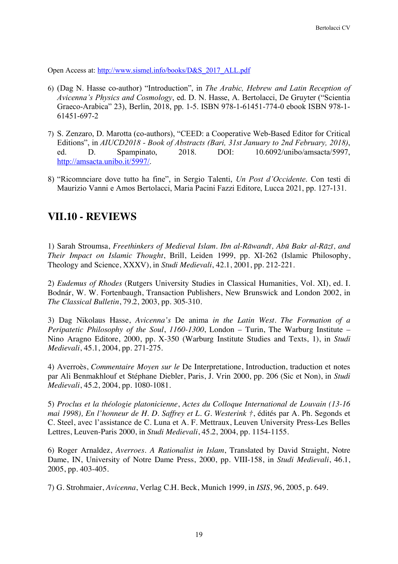Open Access at: http://www.sismel.info/books/D&S\_2017\_ALL.pdf

- 6) (Dag N. Hasse co-author) "Introduction", in *The Arabic, Hebrew and Latin Reception of Avicenna's Physics and Cosmology*, ed. D. N. Hasse, A. Bertolacci, De Gruyter ("Scientia Graeco-Arabica" 23), Berlin, 2018, pp. 1-5. ISBN 978-1-61451-774-0 ebook ISBN 978-1- 61451-697-2
- 7) S. Zenzaro, D. Marotta (co-authors), "CEED: a Cooperative Web-Based Editor for Critical Editions", in *AIUCD2018 - Book of Abstracts (Bari, 31st January to 2nd February, 2018)*, ed. D. Spampinato, 2018. DOI: 10.6092/unibo/amsacta/5997, http://amsacta.unibo.it/5997/.
- 8) "Ricomnciare dove tutto ha fine", in Sergio Talenti, *Un Post d'Occidente*. Con testi di Maurizio Vanni e Amos Bertolacci, Maria Pacini Fazzi Editore, Lucca 2021, pp. 127-131.

## **VII.10 - REVIEWS**

1) Sarah Stroumsa, *Freethinkers of Medieval Islam. Ibn al-Rāwandī, Abū Bakr al-Rāzī, and Their Impact on Islamic Thought*, Brill, Leiden 1999, pp. XI-262 (Islamic Philosophy, Theology and Science, XXXV), in *Studi Medievali*, 42.1, 2001, pp. 212-221.

2) *Eudemus of Rhodes* (Rutgers University Studies in Classical Humanities, Vol. XI), ed. I. Bodnár, W. W. Fortenbaugh, Transaction Publishers, New Brunswick and London 2002, in *The Classical Bulletin*, 79.2, 2003, pp. 305-310.

3) Dag Nikolaus Hasse, *Avicenna's* De anima *in the Latin West. The Formation of a Peripatetic Philosophy of the Soul*, *1160-1300*, London – Turin, The Warburg Institute – Nino Aragno Editore, 2000, pp. X-350 (Warburg Institute Studies and Texts, 1), in *Studi Medievali*, 45.1, 2004, pp. 271-275.

4) Averroès, *Commentaire Moyen sur le* De Interpretatione, Introduction, traduction et notes par Ali Benmakhlouf et Stéphane Diebler, Paris, J. Vrin 2000, pp. 206 (Sic et Non), in *Studi Medievali*, 45.2, 2004, pp. 1080-1081.

5) *Proclus et la théologie platonicienne*, *Actes du Colloque International de Louvain (13-16 mai 1998), En l'honneur de H. D. Saffrey et L. G. Westerink †*, édités par A. Ph. Segonds et C. Steel, avec l'assistance de C. Luna et A. F. Mettraux, Leuven University Press-Les Belles Lettres, Leuven-Paris 2000, in *Studi Medievali*, 45.2, 2004, pp. 1154-1155.

6) Roger Arnaldez, *Averroes. A Rationalist in Islam*, Translated by David Straight, Notre Dame, IN, University of Notre Dame Press, 2000, pp. VIII-158, in *Studi Medievali*, 46.1, 2005, pp. 403-405.

7) G. Strohmaier, *Avicenna*, Verlag C.H. Beck, Munich 1999, in *ISIS*, 96, 2005, p. 649.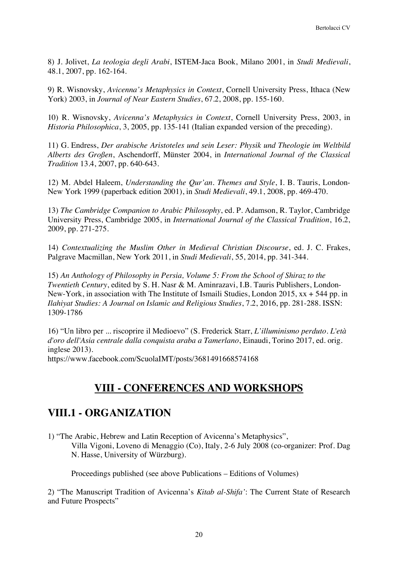8) J. Jolivet, *La teologia degli Arabi*, ISTEM-Jaca Book, Milano 2001, in *Studi Medievali*, 48.1, 2007, pp. 162-164.

9) R. Wisnovsky, *Avicenna's Metaphysics in Context*, Cornell University Press, Ithaca (New York) 2003, in *Journal of Near Eastern Studies*, 67.2, 2008, pp. 155-160.

10) R. Wisnovsky, *Avicenna's Metaphysics in Context*, Cornell University Press, 2003, in *Historia Philosophica*, 3, 2005, pp. 135-141 (Italian expanded version of the preceding).

11) G. Endress, *Der arabische Aristoteles und sein Leser: Physik und Theologie im Weltbild Alberts des Großen*, Aschendorff, Münster 2004, in *International Journal of the Classical Tradition* 13.4, 2007, pp. 640-643.

12) M. Abdel Haleem, *Understanding the Qur'an. Themes and Style*, I. B. Tauris, London-New York 1999 (paperback edition 2001), in *Studi Medievali*, 49.1, 2008, pp. 469-470.

13) *The Cambridge Companion to Arabic Philosophy*, ed. P. Adamson, R. Taylor, Cambridge University Press, Cambridge 2005, in *International Journal of the Classical Tradition*, 16.2, 2009, pp. 271-275.

14) *Contextualizing the Muslim Other in Medieval Christian Discourse*, ed. J. C. Frakes, Palgrave Macmillan, New York 2011, in *Studi Medievali*, 55, 2014, pp. 341-344.

15) *An Anthology of Philosophy in Persia, Volume 5: From the School of Shiraz to the Twentieth Century*, edited by S. H. Nasr & M. Aminrazavi, I.B. Tauris Publishers, London-New-York, in association with The Institute of Ismaili Studies, London 2015, xx + 544 pp. in *Ilahiyat Studies: A Journal on Islamic and Religious Studies*, 7.2, 2016, pp. 281-288. ISSN: 1309-1786

16) "Un libro per ... riscoprire il Medioevo" (S. Frederick Starr, *L'illuminismo perduto. L'età d'oro dell'Asia centrale dalla conquista araba a Tamerlano*, Einaudi, Torino 2017, ed. orig. inglese 2013).

https://www.facebook.com/ScuolaIMT/posts/3681491668574168

# **VIII - CONFERENCES AND WORKSHOPS**

## **VIII.1 - ORGANIZATION**

1) "The Arabic, Hebrew and Latin Reception of Avicenna's Metaphysics", Villa Vigoni, Loveno di Menaggio (Co), Italy, 2-6 July 2008 (co-organizer: Prof. Dag N. Hasse, University of Würzburg).

Proceedings published (see above Publications – Editions of Volumes)

2) "The Manuscript Tradition of Avicenna's *Kitab al-Shifa'*: The Current State of Research and Future Prospects"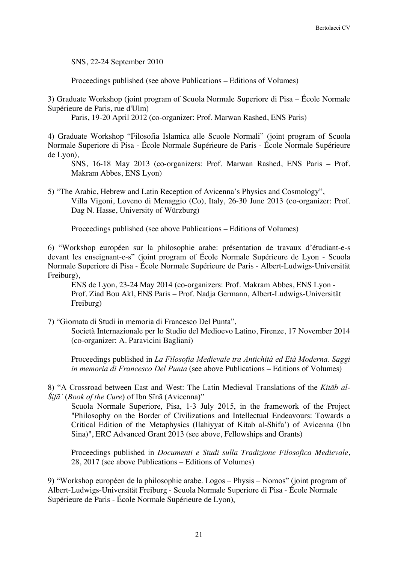SNS, 22-24 September 2010

Proceedings published (see above Publications – Editions of Volumes)

3) Graduate Workshop (joint program of Scuola Normale Superiore di Pisa – École Normale Supérieure de Paris, rue d'Ulm)

Paris, 19-20 April 2012 (co-organizer: Prof. Marwan Rashed, ENS Paris)

4) Graduate Workshop "Filosofia Islamica alle Scuole Normali" (joint program of Scuola Normale Superiore di Pisa - École Normale Supérieure de Paris - École Normale Supérieure de Lyon),

SNS, 16-18 May 2013 (co-organizers: Prof. Marwan Rashed, ENS Paris – Prof. Makram Abbes, ENS Lyon)

5) "The Arabic, Hebrew and Latin Reception of Avicenna's Physics and Cosmology", Villa Vigoni, Loveno di Menaggio (Co), Italy, 26-30 June 2013 (co-organizer: Prof. Dag N. Hasse, University of Würzburg)

Proceedings published (see above Publications – Editions of Volumes)

6) "Workshop européen sur la philosophie arabe: présentation de travaux d'étudiant-e-s devant les enseignant-e-s" (joint program of École Normale Supérieure de Lyon - Scuola Normale Superiore di Pisa - École Normale Supérieure de Paris - Albert-Ludwigs-Universität Freiburg),

ENS de Lyon, 23-24 May 2014 (co-organizers: Prof. Makram Abbes, ENS Lyon - Prof. Ziad Bou Akl, ENS Paris – Prof. Nadja Germann, Albert-Ludwigs-Universität Freiburg)

7) "Giornata di Studi in memoria di Francesco Del Punta",

Società Internazionale per lo Studio del Medioevo Latino, Firenze, 17 November 2014 (co-organizer: A. Paravicini Bagliani)

Proceedings published in *La Filosofia Medievale tra Antichità ed Età Moderna. Saggi in memoria di Francesco Del Punta* (see above Publications – Editions of Volumes)

8) "A Crossroad between East and West: The Latin Medieval Translations of the *Kitāb al-Šifāʾ* (*Book of the Cure*) of Ibn Sīnā (Avicenna)"

Scuola Normale Superiore, Pisa, 1-3 July 2015, in the framework of the Project "Philosophy on the Border of Civilizations and Intellectual Endeavours: Towards a Critical Edition of the Metaphysics (Ilahiyyat of Kitab al-Shifa') of Avicenna (Ibn Sina)", ERC Advanced Grant 2013 (see above, Fellowships and Grants)

Proceedings published in *Documenti e Studi sulla Tradizione Filosofica Medievale*, 28, 2017 (see above Publications – Editions of Volumes)

9) "Workshop européen de la philosophie arabe. Logos – Physis – Nomos" (joint program of Albert-Ludwigs-Universität Freiburg - Scuola Normale Superiore di Pisa - École Normale Supérieure de Paris - École Normale Supérieure de Lyon),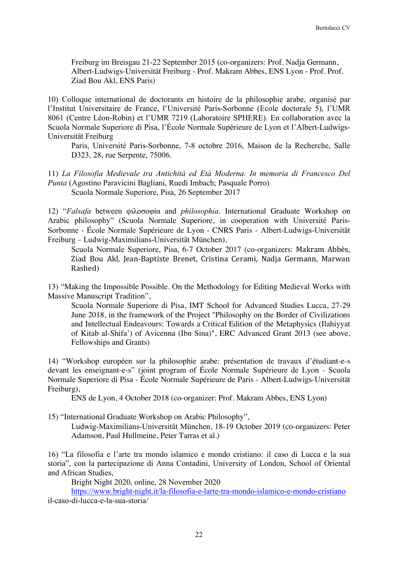Freiburg im Breisgau 21-22 September 2015 (co-organizers: Prof. Nadja Germann, Albert-Ludwigs-Universität Freiburg - Prof. Makram Abbes, ENS Lyon - Prof. Prof. Ziad Bou Akl, ENS Paris)

10) Colloque international de doctorants en histoire de la philosophie arabe, organisé par l'Institut Universitaire de France, l'Université Paris-Sorbonne (Ecole doctorale 5), l'UMR 8061 (Centre Léon-Robin) et l'UMR 7219 (Laboratoire SPHERE). En collaboration avec la Scuola Normale Superiore di Pisa, l'École Normale Supérieure de Lyon et l'Albert-Ludwigs-Universität Freiburg

Paris, Université Paris-Sorbonne, 7-8 octobre 2016, Maison de la Recherche, Salle D323, 28, rue Serpente, 75006.

11) *La Filosofia Medievale tra Antichità ed Età Moderna. In memoria di Francesco Del Punta* (Agostino Paravicini Bagliani, Ruedi Imbach; Pasquale Porro) Scuola Normale Superiore, Pisa, 26 September 2017

12) "*Falsafa* between φιλοσοφία and *philosophia*. International Graduate Workshop on Arabic philosophy" (Scuola Normale Superiore, in cooperation with Université Paris-Sorbonne - École Normale Supérieure de Lyon - CNRS Paris - Albert-Ludwigs-Universität Freiburg – Ludwig-Maximilians-Universität München),

Scuola Normale Superiore, Pisa, 6-7 October 2017 (co-organizers: Makram Abbès, Ziad Bou Akl, Jean-Baptiste Brenet, Cristina Cerami, Nadja Germann, Marwan Rashed)

13) "Making the Impossible Possible. On the Methodology for Editing Medieval Works with Massive Manuscript Tradition",

Scuola Normale Superiore di Pisa, IMT School for Advanced Studies Lucca, 27-29 June 2018, in the framework of the Project "Philosophy on the Border of Civilizations and Intellectual Endeavours: Towards a Critical Edition of the Metaphysics (Ilahiyyat of Kitab al-Shifa') of Avicenna (Ibn Sina)", ERC Advanced Grant 2013 (see above, Fellowships and Grants)

14) "Workshop européen sur la philosophie arabe: présentation de travaux d'étudiant-e-s devant les enseignant-e-s" (joint program of École Normale Supérieure de Lyon - Scuola Normale Superiore di Pisa - École Normale Supérieure de Paris - Albert-Ludwigs-Universität Freiburg),

ENS de Lyon, 4 October 2018 (co-organizer: Prof. Makram Abbes, ENS Lyon)

15) "International Graduate Workshop on Arabic Philosophy",

Ludwig-Maximilians-Universität München, 18-19 October 2019 (co-organizers: Peter Adamson, Paul Hullmeine, Peter Tarras et al.)

16) "La filosofia e l'arte tra mondo islamico e mondo cristiano: il caso di Lucca e la sua storia", con la partecipazione di Anna Contadini, University of London, School of Oriental and African Studies,

Bright Night 2020, online, 28 November 2020

https://www.bright-night.it/la-filosofia-e-larte-tra-mondo-islamico-e-mondo-cristiano il-caso-di-lucca-e-la-sua-storia/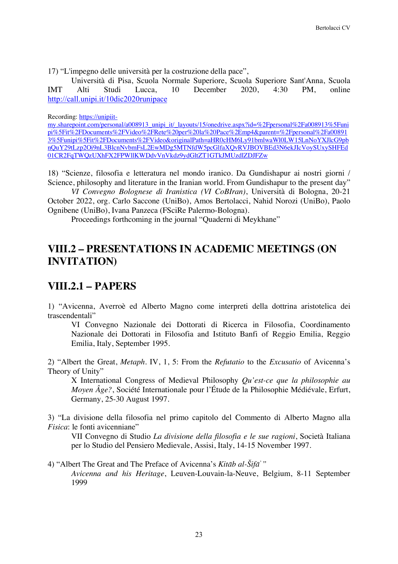17) "L'impegno delle università per la costruzione della pace",

Università di Pisa, Scuola Normale Superiore, Scuola Superiore Sant'Anna, Scuola IMT Alti Studi Lucca, 10 December 2020, 4:30 PM, online http://call.unipi.it/10dic2020runipace

#### Recording: https://unipiit-

my.sharepoint.com/personal/a008913\_unipi\_it/\_layouts/15/onedrive.aspx?id=%2Fpersonal%2Fa008913%5Funi pi%5Fit%2FDocuments%2FVideo%2FRete%20per%20la%20Pace%2Emp4&parent=%2Fpersonal%2Fa00891 3%5Funipi%5Fit%2FDocuments%2FVideo&originalPath=aHR0cHM6Ly91bmlwaWl0LW15LnNoYXJlcG9pb nQuY29tLzp2Oi9nL3BlcnNvbmFsL2EwMDg5MTNfdW5pcGlfaXQvRVJBOVBEd3N6ekJIcVoySUxySHFEd 01CR2FqTWQzUXhFX2FPWllKWDdvVnVkdz9ydGltZT1GTkJMUzdlZDJFZw

18) "Scienze, filosofia e letteratura nel mondo iranico. Da Gundishapur ai nostri giorni / Science, philosophy and literature in the Iranian world. From Gundishapur to the present day"

*VI Convegno Bolognese di Iranistica (VI CoBIran)*, Università di Bologna, 20-21 October 2022, org. Carlo Saccone (UniBo), Amos Bertolacci, Nahid Norozi (UniBo), Paolo Ognibene (UniBo), Ivana Panzeca (FSciRe Palermo-Bologna).

Proceedings forthcoming in the journal "Quaderni di Meykhane"

## **VIII.2 – PRESENTATIONS IN ACADEMIC MEETINGS (ON INVITATION)**

### **VIII.2.1 – PAPERS**

1) "Avicenna, Averroè ed Alberto Magno come interpreti della dottrina aristotelica dei trascendentali"

VI Convegno Nazionale dei Dottorati di Ricerca in Filosofia, Coordinamento Nazionale dei Dottorati in Filosofia and Istituto Banfi of Reggio Emilia, Reggio Emilia, Italy, September 1995.

2) "Albert the Great, *Metaph*. IV, 1, 5: From the *Refutatio* to the *Excusatio* of Avicenna's Theory of Unity"

X International Congress of Medieval Philosophy *Qu'est-ce que la philosophie au Moyen Âge?*, Société Internationale pour l'Étude de la Philosophie Médiévale, Erfurt, Germany, 25-30 August 1997.

3) "La divisione della filosofia nel primo capitolo del Commento di Alberto Magno alla *Fisica*: le fonti avicenniane"

VII Convegno di Studio *La divisione della filosofia e le sue ragioni*, Società Italiana per lo Studio del Pensiero Medievale, Assisi, Italy, 14-15 November 1997.

4) "Albert The Great and The Preface of Avicenna's *Kitāb al-Šifā*ʾ*" Avicenna and his Heritage*, Leuven-Louvain-la-Neuve, Belgium, 8-11 September 1999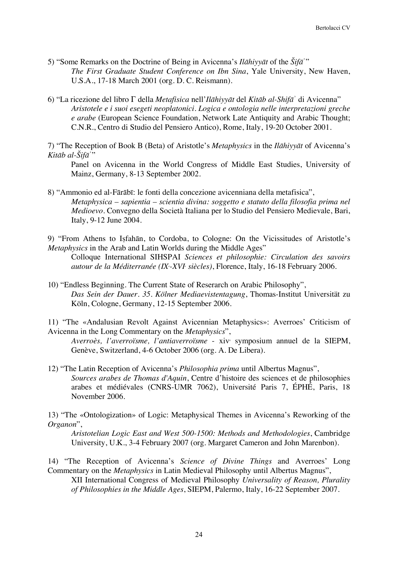- 5) "Some Remarks on the Doctrine of Being in Avicenna's *Ilāhiyyāt* of the *Šifā*ʾ" *The First Graduate Student Conference on Ibn Sina*, Yale University, New Haven, U.S.A., 17-18 March 2001 (org. D. C. Reismann).
- 6) "La ricezione del libro Γ della *Metafisica* nell'*Ilāhiyyāt* del *Kitāb al-Shifā*ʾ di Avicenna" *Aristotele e i suoi esegeti neoplatonici. Logica e ontologia nelle interpretazioni greche e arabe* (European Science Foundation, Network Late Antiquity and Arabic Thought; C.N.R., Centro di Studio del Pensiero Antico), Rome, Italy, 19-20 October 2001.

7) "The Reception of Book B (Beta) of Aristotle's *Metaphysics* in the *Ilāhiyyāt* of Avicenna's *Kitāb al-Šifā*ʾ"

Panel on Avicenna in the World Congress of Middle East Studies, University of Mainz, Germany, 8-13 September 2002.

8) "Ammonio ed al-Fārābī: le fonti della concezione avicenniana della metafisica", *Metaphysica – sapientia – scientia divina: soggetto e statuto della filosofia prima nel Medioevo*. Convegno della Società Italiana per lo Studio del Pensiero Medievale, Bari, Italy, 9-12 June 2004.

9) "From Athens to Iṣfahān, to Cordoba, to Cologne: On the Vicissitudes of Aristotle's *Metaphysics* in the Arab and Latin Worlds during the Middle Ages"

Colloque International SIHSPAI *Sciences et philosophie: Circulation des savoirs*  autour de la Méditerranée (IX<sup>*.*</sup>-XVI<sup>,</sup> siècles), Florence, Italy, 16-18 February 2006.

10) "Endless Beginning. The Current State of Reserarch on Arabic Philosophy", *Das Sein der Dauer. 35. Kölner Mediaevistentagung*, Thomas-Institut Universität zu Köln, Cologne, Germany, 12-15 September 2006.

11) "The «Andalusian Revolt Against Avicennian Metaphysics»: Averroes' Criticism of Avicenna in the Long Commentary on the *Metaphysics*",

*Averroès, l'averroïsme, l'antiaverroïsme* - xive symposium annuel de la SIEPM, Genève, Switzerland, 4-6 October 2006 (org. A. De Libera).

12) "The Latin Reception of Avicenna's *Philosophia prima* until Albertus Magnus", *Sources arabes de Thomas d'Aquin*, Centre d'histoire des sciences et de philosophies arabes et médiévales (CNRS-UMR 7062), Université Paris 7, ÉPHÉ, Paris, 18 November 2006.

13) "The «Ontologization» of Logic: Metaphysical Themes in Avicenna's Reworking of the *Organon*",

*Aristotelian Logic East and West 500-1500: Methods and Methodologies*, Cambridge University, U.K., 3-4 February 2007 (org. Margaret Cameron and John Marenbon).

14) "The Reception of Avicenna's *Science of Divine Things* and Averroes' Long Commentary on the *Metaphysics* in Latin Medieval Philosophy until Albertus Magnus",

XII International Congress of Medieval Philosophy *Universality of Reason, Plurality of Philosophies in the Middle Ages*, SIEPM, Palermo, Italy, 16-22 September 2007.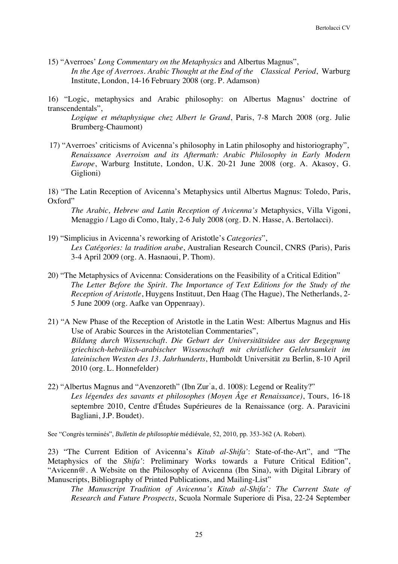15) "Averroes' *Long Commentary on the Metaphysics* and Albertus Magnus", *In the Age of Averroes. Arabic Thought at the End of the Classical Period*, Warburg Institute, London, 14-16 February 2008 (org. P. Adamson)

16) "Logic, metaphysics and Arabic philosophy: on Albertus Magnus' doctrine of transcendentals",

*Logique et métaphysique chez Albert le Grand*, Paris, 7-8 March 2008 (org. Julie Brumberg-Chaumont)

- 17) "Averroes' criticisms of Avicenna's philosophy in Latin philosophy and historiography", *Renaissance Averroism and its Aftermath: Arabic Philosophy in Early Modern Europe*, Warburg Institute, London, U.K. 20-21 June 2008 (org. A. Akasoy, G. Giglioni)
- 18) "The Latin Reception of Avicenna's Metaphysics until Albertus Magnus: Toledo, Paris, Oxford"

*The Arabic, Hebrew and Latin Reception of Avicenna's* Metaphysics, Villa Vigoni, Menaggio / Lago di Como, Italy, 2-6 July 2008 (org. D. N. Hasse, A. Bertolacci).

- 19) "Simplicius in Avicenna's reworking of Aristotle's *Categories*", *Les Catégories: la tradition arabe*, Australian Research Council, CNRS (Paris), Paris 3-4 April 2009 (org. A. Hasnaoui, P. Thom).
- 20) "The Metaphysics of Avicenna: Considerations on the Feasibility of a Critical Edition" *The Letter Before the Spirit. The Importance of Text Editions for the Study of the Reception of Aristotle*, Huygens Instituut, Den Haag (The Hague), The Netherlands, 2- 5 June 2009 (org. Aafke van Oppenraay).
- 21) "A New Phase of the Reception of Aristotle in the Latin West: Albertus Magnus and His Use of Arabic Sources in the Aristotelian Commentaries", *Bildung durch Wissenschaft. Die Geburt der Universitätsidee aus der Begegnung griechisch-hebräisch-arabischer Wissenschaft mit christlicher Gelehrsamkeit im lateinischen Westen des 13. Jahrhunderts*, Humboldt Universität zu Berlin, 8-10 April 2010 (org. L. Honnefelder)
- 22) "Albertus Magnus and "Avenzoreth" (Ibn Zurʿa, d. 1008): Legend or Reality?" *Les légendes des savants et philosophes (Moyen Âge et Renaissance)*, Tours, 16-18 septembre 2010, Centre d'Études Supérieures de la Renaissance (org. A. Paravicini Bagliani, J.P. Boudet).

See "Congrès terminés", *Bulletin de philosophie* médiévale, 52, 2010, pp. 353-362 (A. Robert).

23) "The Current Edition of Avicenna's *Kitab al-Shifa'*: State-of-the-Art", and "The Metaphysics of the *Shifa'*: Preliminary Works towards a Future Critical Edition", "Avicenn@. A Website on the Philosophy of Avicenna (Ibn Sina), with Digital Library of Manuscripts, Bibliography of Printed Publications, and Mailing-List"

*The Manuscript Tradition of Avicenna's Kitab al-Shifa': The Current State of Research and Future Prospects*, Scuola Normale Superiore di Pisa, 22-24 September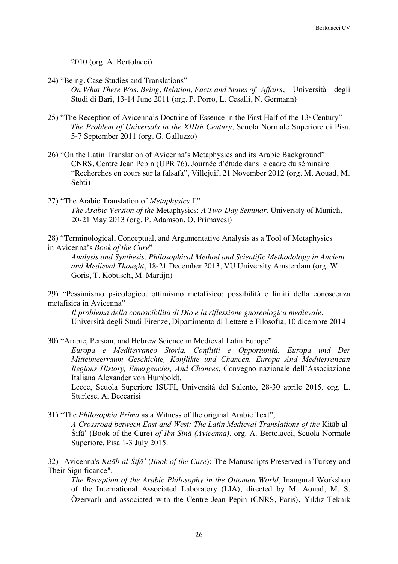2010 (org. A. Bertolacci)

24) "Being. Case Studies and Translations"

*On What There Was. Being, Relation, Facts and States of Affairs*, Università degli Studi di Bari, 13-14 June 2011 (org. P. Porro, L. Cesalli, N. Germann)

- 25) "The Reception of Avicenna's Doctrine of Essence in the First Half of the  $13<sup>*</sup>$  Century" *The Problem of Universals in the XIIIth Century*, Scuola Normale Superiore di Pisa, 5-7 September 2011 (org. G. Galluzzo)
- 26) "On the Latin Translation of Avicenna's Metaphysics and its Arabic Background" CNRS, Centre Jean Pepin (UPR 76), Journée d'étude dans le cadre du séminaire "Recherches en cours sur la falsafa", Villejuif, 21 November 2012 (org. M. Aouad, M. Sebti)
- 27) "The Arabic Translation of *Metaphysics* Γ" *The Arabic Version of the* Metaphysics: *A Two-Day Seminar*, University of Munich, 20-21 May 2013 (org. P. Adamson, O. Primavesi)

28) "Terminological, Conceptual, and Argumentative Analysis as a Tool of Metaphysics in Avicenna's *Book of the Cure*"

*Analysis and Synthesis. Philosophical Method and Scientific Methodology in Ancient and Medieval Thought*, 18-21 December 2013, VU University Amsterdam (org. W. Goris, T. Kobusch, M. Martijn)

29) "Pessimismo psicologico, ottimismo metafisico: possibilità e limiti della conoscenza metafisica in Avicenna"

*Il problema della conoscibilità di Dio e la riflessione gnoseologica medievale*, Università degli Studi Firenze, Dipartimento di Lettere e Filosofia, 10 dicembre 2014

30) "Arabic, Persian, and Hebrew Science in Medieval Latin Europe" *Europa e Mediterraneo Storia, Conflitti e Opportunità. Europa und Der Mittelmeerraum Geschichte, Konflikte und Chancen. Europa And Mediterranean Regions History, Emergencies, And Chances*, Convegno nazionale dell'Associazione Italiana Alexander von Humboldt,

Lecce, Scuola Superiore ISUFI, Università del Salento, 28-30 aprile 2015. org. L. Sturlese, A. Beccarisi

31) "The *Philosophia Prima* as a Witness of the original Arabic Text", *A Crossroad between East and West: The Latin Medieval Translations of the* Kitāb al-

Šifāʾ (Book of the Cure) *of Ibn Sīnā (Avicenna)*, org. A. Bertolacci, Scuola Normale Superiore, Pisa 1-3 July 2015.

32) "Avicenna's *Kitāb al-Šifāʾ* (*Book of the Cure*): The Manuscripts Preserved in Turkey and Their Significance",

*The Reception of the Arabic Philosophy in the Ottoman World*, Inaugural Workshop of the International Associated Laboratory (LIA), directed by M. Aouad, M. S. Özervarlı and associated with the Centre Jean Pépin (CNRS, Paris), Yıldız Teknik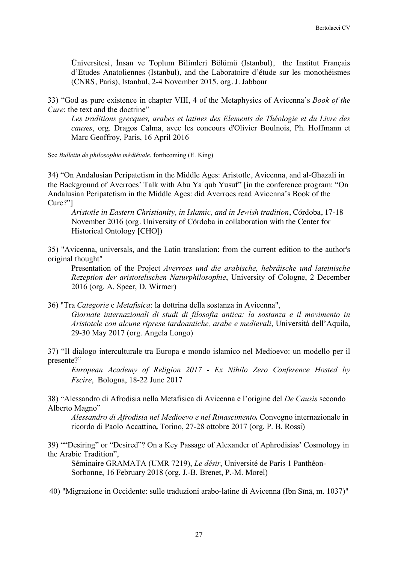Üniversitesi, İnsan ve Toplum Bilimleri Bölümü (Istanbul), the Institut Français d'Etudes Anatoliennes (Istanbul), and the Laboratoire d'étude sur les monothéismes (CNRS, Paris), Istanbul, 2-4 November 2015, org. J. Jabbour

33) "God as pure existence in chapter VIII, 4 of the Metaphysics of Avicenna's *Book of the Cure*: the text and the doctrine"

*Les traditions grecques, arabes et latines des Elements de Théologie et du Livre des causes*, org. Dragos Calma, avec les concours d'Olivier Boulnois, Ph. Hoffmann et Marc Geoffroy, Paris, 16 April 2016

See *Bulletin de philosophie médiévale*, forthcoming (E. King)

34) "On Andalusian Peripatetism in the Middle Ages: Aristotle, Avicenna, and al-Ghazali in the Background of Averroes' Talk with Abū Yaʿqūb Yūsuf" [in the conference program: "On Andalusian Peripatetism in the Middle Ages: did Averroes read Avicenna's Book of the Cure?"]

*Aristotle in Eastern Christianity, in Islamic, and in Jewish tradition*, Córdoba, 17-18 November 2016 (org. University of Córdoba in collaboration with the Center for Historical Ontology [CHO])

35) "Avicenna, universals, and the Latin translation: from the current edition to the author's original thought"

Presentation of the Project *Averroes und die arabische, hebräische und lateinische Rezeption der aristotelischen Naturphilosophie*, University of Cologne, 2 December 2016 (org. A. Speer, D. Wirmer)

36) "Tra *Categorie* e *Metafisica*: la dottrina della sostanza in Avicenna", *Giornate internazionali di studi di filosofia antica: la sostanza e il movimento in Aristotele con alcune riprese tardoantiche, arabe e medievali*, Università dell'Aquila, 29-30 May 2017 (org. Angela Longo)

37) "Il dialogo interculturale tra Europa e mondo islamico nel Medioevo: un modello per il presente?"

*European Academy of Religion 2017 - Ex Nihilo Zero Conference Hosted by Fscire*, Bologna, 18-22 June 2017

38) "Alessandro di Afrodisia nella Metafisica di Avicenna e l'origine del *De Causis* secondo Alberto Magno"

*Alessandro di Afrodisia nel Medioevo e nel Rinascimento.* Convegno internazionale in ricordo di Paolo Accattino*,* Torino, 27-28 ottobre 2017 (org. P. B. Rossi)

39) ""Desiring" or "Desired"? On a Key Passage of Alexander of Aphrodisias' Cosmology in the Arabic Tradition",

Séminaire GRAMATA (UMR 7219), *Le désir*, Université de Paris 1 Panthéon-Sorbonne, 16 February 2018 (org. J.-B. Brenet, P.-M. Morel)

40) "Migrazione in Occidente: sulle traduzioni arabo-latine di Avicenna (Ibn Sīnā, m. 1037)"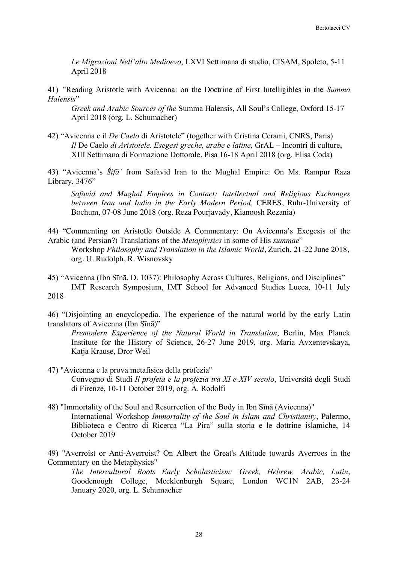*Le Migrazioni Nell'alto Medioevo*, LXVI Settimana di studio, CISAM, Spoleto, 5-11 April 2018

41) *"*Reading Aristotle with Avicenna: on the Doctrine of First Intelligibles in the *Summa Halensis*"

*Greek and Arabic Sources of the* Summa Halensis, All Soul's College, Oxford 15-17 April 2018 (org. L. Schumacher)

42) "Avicenna e il *De Caelo* di Aristotele" (together with Cristina Cerami, CNRS, Paris) *Il* De Caelo *di Aristotele. Esegesi greche, arabe e latine*, GrAL – Incontri di culture, XIII Settimana di Formazione Dottorale, Pisa 16-18 April 2018 (org. Elisa Coda)

43) "Avicenna's *Šifāʾ* from Safavid Iran to the Mughal Empire: On Ms. Rampur Raza Library, 3476"

*Safavid and Mughal Empires in Contact: Intellectual and Religious Exchanges between Iran and India in the Early Modern Period,* CERES, Ruhr-University of Bochum, 07-08 June 2018 (org. Reza Pourjavady, Kianoosh Rezania)

44) "Commenting on Aristotle Outside A Commentary: On Avicenna's Exegesis of the Arabic (and Persian?) Translations of the *Metaphysics* in some of His *summae*"

Workshop *Philosophy and Translation in the Islamic World*, Zurich, 21-22 June 2018, org. U. Rudolph, R. Wisnovsky

45) "Avicenna (Ibn Sīnā, D. 1037): Philosophy Across Cultures, Religions, and Disciplines" IMT Research Symposium, IMT School for Advanced Studies Lucca, 10-11 July 2018

46) "Disjointing an encyclopedia. The experience of the natural world by the early Latin translators of Avicenna (Ibn Sīnā)"

*Premodern Experience of the Natural World in Translation*, Berlin, Max Planck Institute for the History of Science, 26-27 June 2019, org. Maria Avxentevskaya, Katja Krause, Dror Weil

- 47) "Avicenna e la prova metafisica della profezia" Convegno di Studi *Il profeta e la profezia tra XI e XIV secolo*, Università degli Studi di Firenze, 10-11 October 2019, org. A. Rodolfi
- 48) "Immortality of the Soul and Resurrection of the Body in Ibn Sīnā (Avicenna)" International Workshop *Immortality of the Soul in Islam and Christianity*, Palermo, Biblioteca e Centro di Ricerca "La Pira" sulla storia e le dottrine islamiche, 14 October 2019

49) "Averroist or Anti-Averroist? On Albert the Great's Attitude towards Averroes in the Commentary on the Metaphysics"

*The Intercultural Roots Early Scholasticism: Greek, Hebrew, Arabic, Latin*, Goodenough College, Mecklenburgh Square, London WC1N 2AB, 23-24 January 2020, org. L. Schumacher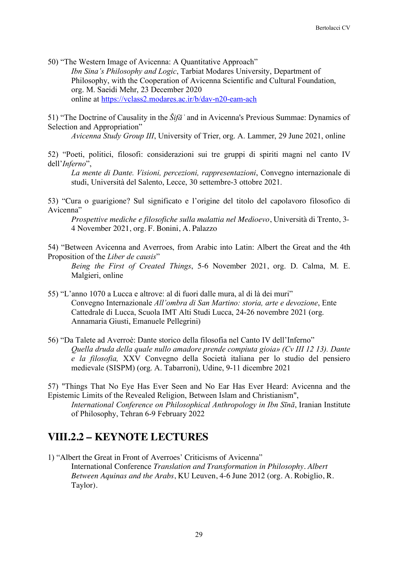50) "The Western Image of Avicenna: A Quantitative Approach" *Ibn Sina's Philosophy and Logic*, Tarbiat Modares University, Department of Philosophy, with the Cooperation of Avicenna Scientific and Cultural Foundation, org. M. Saeidi Mehr, 23 December 2020 online at https://vclass2.modares.ac.ir/b/dav-n20-eam-ach

51) "The Doctrine of Causality in the *Šifāʾ* and in Avicenna's Previous Summae: Dynamics of Selection and Appropriation"

*Avicenna Study Group III*, University of Trier, org. A. Lammer, 29 June 2021, online

52) "Poeti, politici, filosofi: considerazioni sui tre gruppi di spiriti magni nel canto IV dell'*Inferno*",

*La mente di Dante. Visioni, percezioni, rappresentazioni*, Convegno internazionale di studi, Università del Salento, Lecce, 30 settembre-3 ottobre 2021.

53) "Cura o guarigione? Sul significato e l'origine del titolo del capolavoro filosofico di Avicenna"

*Prospettive mediche e filosofiche sulla malattia nel Medioevo*, Università di Trento, 3- 4 November 2021, org. F. Bonini, A. Palazzo

54) "Between Avicenna and Averroes, from Arabic into Latin: Albert the Great and the 4th Proposition of the *Liber de causis*"

*Being the First of Created Things*, 5-6 November 2021, org. D. Calma, M. E. Malgieri, online

- 55) "L'anno 1070 a Lucca e altrove: al di fuori dalle mura, al di là dei muri" Convegno Internazionale *All'ombra di San Martino: storia, arte e devozione*, Ente Cattedrale di Lucca, Scuola IMT Alti Studi Lucca, 24-26 novembre 2021 (org. Annamaria Giusti, Emanuele Pellegrini)
- 56) "Da Talete ad Averroè: Dante storico della filosofia nel Canto IV dell'Inferno" *Quella druda della quale nullo amadore prende compiuta gioia» (Cv III 12 13). Dante e la filosofia,* XXV Convegno della Società italiana per lo studio del pensiero medievale (SISPM) (org. A. Tabarroni), Udine, 9-11 dicembre 2021

57) "Things That No Eye Has Ever Seen and No Ear Has Ever Heard: Avicenna and the Epistemic Limits of the Revealed Religion, Between Islam and Christianism",

*International Conference on Philosophical Anthropology in Ibn Sīnā*, Iranian Institute of Philosophy, Tehran 6-9 February 2022

# **VIII.2.2 – KEYNOTE LECTURES**

1) "Albert the Great in Front of Averroes' Criticisms of Avicenna" International Conference *Translation and Transformation in Philosophy. Albert Between Aquinas and the Arabs*, KU Leuven, 4-6 June 2012 (org. A. Robiglio, R. Taylor).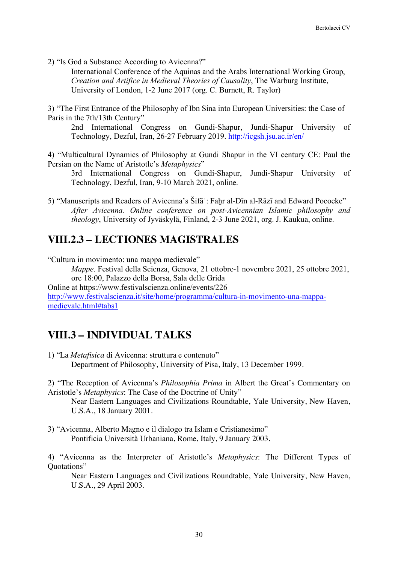2) "Is God a Substance According to Avicenna?"

International Conference of the Aquinas and the Arabs International Working Group, *Creation and Artifice in Medieval Theories of Causality*, The Warburg Institute, University of London, 1-2 June 2017 (org. C. Burnett, R. Taylor)

3) "The First Entrance of the Philosophy of Ibn Sina into European Universities: the Case of Paris in the 7th/13th Century"

2nd International Congress on Gundi-Shapur, Jundi-Shapur University of Technology, Dezful, Iran, 26-27 February 2019. http://icgsh.jsu.ac.ir/en/

4) "Multicultural Dynamics of Philosophy at Gundi Shapur in the VI century CE: Paul the Persian on the Name of Aristotle's *Metaphysics*"

3rd International Congress on Gundi-Shapur, Jundi-Shapur University of Technology, Dezful, Iran, 9-10 March 2021, online.

5) "Manuscripts and Readers of Avicenna's Šifā': Fahr al-Dīn al-Rāzī and Edward Pococke" *After Avicenna. Online conference on post-Avicennian Islamic philosophy and theology*, University of Jyväskylä, Finland, 2-3 June 2021, org. J. Kaukua, online.

## **VIII.2.3 – LECTIONES MAGISTRALES**

"Cultura in movimento: una mappa medievale" *Mappe*. Festival della Scienza, Genova, 21 ottobre-1 novembre 2021, 25 ottobre 2021, ore 18:00, Palazzo della Borsa, Sala delle Grida Online at https://www.festivalscienza.online/events/226 http://www.festivalscienza.it/site/home/programma/cultura-in-movimento-una-mappamedievale.html#tabs1

# **VIII.3 – INDIVIDUAL TALKS**

- 1) "La *Metafisica* di Avicenna: struttura e contenuto" Department of Philosophy, University of Pisa, Italy, 13 December 1999.
- 2) "The Reception of Avicenna's *Philosophia Prima* in Albert the Great's Commentary on Aristotle's *Metaphysics*: The Case of the Doctrine of Unity"

Near Eastern Languages and Civilizations Roundtable, Yale University, New Haven, U.S.A., 18 January 2001.

3) "Avicenna, Alberto Magno e il dialogo tra Islam e Cristianesimo" Pontificia Università Urbaniana, Rome, Italy, 9 January 2003.

4) "Avicenna as the Interpreter of Aristotle's *Metaphysics*: The Different Types of Quotations"

Near Eastern Languages and Civilizations Roundtable, Yale University, New Haven, U.S.A., 29 April 2003.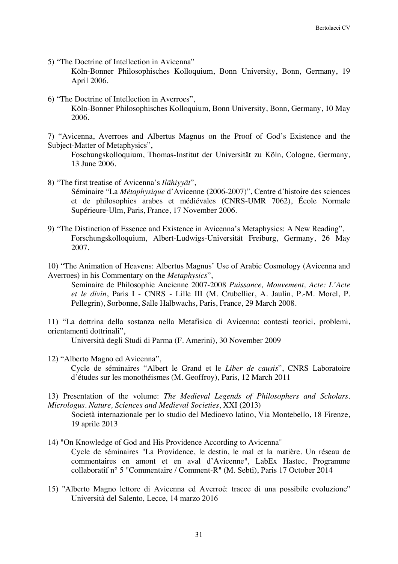5) "The Doctrine of Intellection in Avicenna"

Köln-Bonner Philosophisches Kolloquium, Bonn University, Bonn, Germany, 19 April 2006.

6) "The Doctrine of Intellection in Averroes", Köln-Bonner Philosophisches Kolloquium, Bonn University, Bonn, Germany, 10 May 2006.

7) "Avicenna, Averroes and Albertus Magnus on the Proof of God's Existence and the Subject-Matter of Metaphysics",

Foschungskolloquium, Thomas-Institut der Universität zu Köln, Cologne, Germany, 13 June 2006.

- 8) "The first treatise of Avicenna's *Ilāhiyyāt*", Séminaire "La *Métaphysique* d'Avicenne (2006-2007)", Centre d'histoire des sciences et de philosophies arabes et médiévales (CNRS-UMR 7062), École Normale Supérieure-Ulm, Paris, France, 17 November 2006.
- 9) "The Distinction of Essence and Existence in Avicenna's Metaphysics: A New Reading", Forschungskolloquium, Albert-Ludwigs-Universität Freiburg, Germany, 26 May 2007.
- 10) "The Animation of Heavens: Albertus Magnus' Use of Arabic Cosmology (Avicenna and Averroes) in his Commentary on the *Metaphysics*",

Seminaire de Philosophie Ancienne 2007-2008 *Puissance, Mouvement, Acte: L'Acte et le divin*, Paris I - CNRS - Lille III (M. Crubellier, A. Jaulin, P.-M. Morel, P. Pellegrin), Sorbonne, Salle Halbwachs, Paris, France, 29 March 2008.

11) "La dottrina della sostanza nella Metafisica di Avicenna: contesti teorici, problemi, orientamenti dottrinali",

Università degli Studi di Parma (F. Amerini), 30 November 2009

12) "Alberto Magno ed Avicenna",

Cycle de séminaires "Albert le Grand et le *Liber de causis*", CNRS Laboratoire d'études sur les monothéismes (M. Geoffroy), Paris, 12 March 2011

13) Presentation of the volume: *The Medieval Legends of Philosophers and Scholars. Micrologus. Nature, Sciences and Medieval Societies*, XXI (2013)

Società internazionale per lo studio del Medioevo latino, Via Montebello, 18 Firenze, 19 aprile 2013

- 14) "On Knowledge of God and His Providence According to Avicenna" Cycle de séminaires "La Providence, le destin, le mal et la matière. Un réseau de commentaires en amont et en aval d'Avicenne", LabEx Hastec, Programme collaboratif n° 5 "Commentaire / Comment-R" (M. Sebti), Paris 17 October 2014
- 15) "Alberto Magno lettore di Avicenna ed Averroè: tracce di una possibile evoluzione" Università del Salento, Lecce, 14 marzo 2016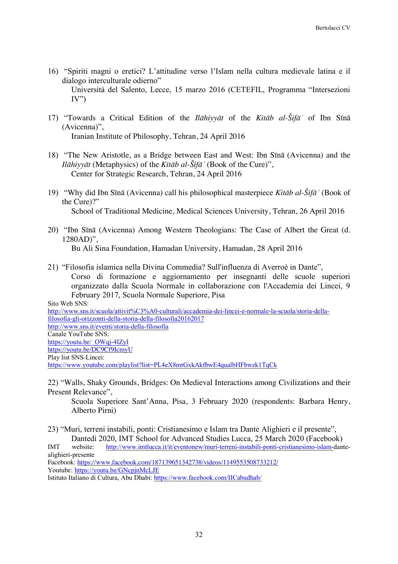16) "Spiriti magni o eretici? L'attitudine verso l'Islam nella cultura medievale latina e il dialogo interculturale odierno"

Università del Salento, Lecce, 15 marzo 2016 (CETEFIL, Programma "Intersezioni  $IV'$ 

- 17) "Towards a Critical Edition of the *Ilāhiyyāt* of the *Kitāb al-Šifāʾ* of Ibn Sīnā (Avicenna)", Iranian Institute of Philosophy, Tehran, 24 April 2016
- 18) "The New Aristotle, as a Bridge between East and West: Ibn Sīnā (Avicenna) and the *Ilāhiyyāt* (Metaphysics) of the *Kitāb al-Šifāʾ* (Book of the Cure)", Center for Strategic Research, Tehran, 24 April 2016
- 19) "Why did Ibn Sīnā (Avicenna) call his philosophical masterpiece *Kitāb al-Šifāʾ* (Book of the Cure)?" School of Traditional Medicine, Medical Sciences University, Tehran, 26 April 2016
- 20) "Ibn Sīnā (Avicenna) Among Western Theologians: The Case of Albert the Great (d. 1280AD)",

Bu Ali Sina Foundation, Hamadan University, Hamadan, 28 April 2016

21) "Filosofia islamica nella Divina Commedia? Sull'influenza di Averroè in Dante", Corso di formazione e aggiornamento per insegnanti delle scuole superiori organizzato dalla Scuola Normale in collaborazione con l'Accademia dei Lincei, 9 February 2017, Scuola Normale Superiore, Pisa

Sito Web SNS: http://www.sns.it/scuola/attivit%C3%A0-culturali/accademia-dei-lincei-e-normale-la-scuola/storia-dellafilosofia-gli-orizzonti-della-storia-della-filosofia20162017 http://www.sns.it/eventi/storia-della-filosofia Canale YouTube SNS: https://youtu.be/\_OWqj-4IZyI https://youtu.be/DC9Cf9IcmyU Play list SNS-Lincei: https://www.youtube.com/playlist?list=PL4eX8mtGxkAkfbwE4qualbHFbwzk1TqCk

22) "Walls, Shaky Grounds, Bridges: On Medieval Interactions among Civilizations and their Present Relevance",

Scuola Superiore Sant'Anna, Pisa, 3 February 2020 (respondents: Barbara Henry, Alberto Pirni)

23) "Muri, terreni instabili, ponti: Cristianesimo e Islam tra Dante Alighieri e il presente", Dantedì 2020, IMT School for Advanced Studies Lucca, 25 March 2020 (Facebook)

IMT website: http://www.imtlucca.it/it/eventonew/muri-terreni-instabili-ponti-cristianesimo-islam-dantealighieri-presente

Facebook: https://www.facebook.com/187139651342738/videos/1149553508733212/ Youtube: https://youtu.be/GNcpinMcLJE

Istituto Italiano di Cultura, Abu Dhabi: https://www.facebook.com/IICabudhab/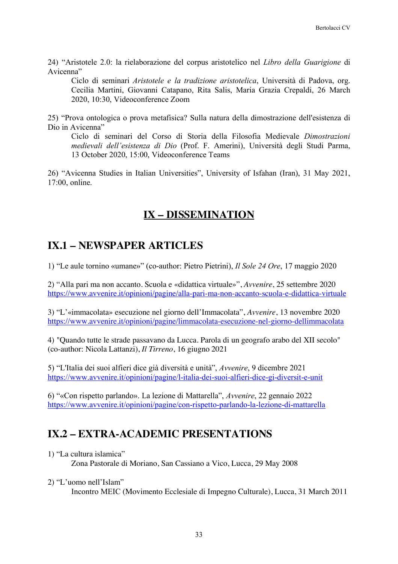24) "Aristotele 2.0: la rielaborazione del corpus aristotelico nel *Libro della Guarigione* di Avicenna"

Ciclo di seminari *Aristotele e la tradizione aristotelica*, Università di Padova, org. Cecilia Martini, Giovanni Catapano, Rita Salis, Maria Grazia Crepaldi, 26 March 2020, 10:30, Videoconference Zoom

25) "Prova ontologica o prova metafisica? Sulla natura della dimostrazione dell'esistenza di Dio in Avicenna"

Ciclo di seminari del Corso di Storia della Filosofia Medievale *Dimostrazioni medievali dell'esistenza di Dio* (Prof. F. Amerini), Università degli Studi Parma, 13 October 2020, 15:00, Videoconference Teams

26) "Avicenna Studies in Italian Universities", University of Isfahan (Iran), 31 May 2021, 17:00, online.

## **IX – DISSEMINATION**

# **IX.1 – NEWSPAPER ARTICLES**

1) "Le aule tornino «umane»" (co-author: Pietro Pietrini), *Il Sole 24 Ore*, 17 maggio 2020

2) "Alla pari ma non accanto. Scuola e «didattica virtuale»", *Avvenire*, 25 settembre 2020 https://www.avvenire.it/opinioni/pagine/alla-pari-ma-non-accanto-scuola-e-didattica-virtuale

3) "L'«immacolata» esecuzione nel giorno dell'Immacolata", *Avvenire*, 13 novembre 2020 https://www.avvenire.it/opinioni/pagine/limmacolata-esecuzione-nel-giorno-dellimmacolata

4) "Quando tutte le strade passavano da Lucca. Parola di un geografo arabo del XII secolo" (co-author: Nicola Lattanzi), *Il Tirreno*, 16 giugno 2021

5) "L'Italia dei suoi alfieri dice già diversità e unità", *Avvenire*, 9 dicembre 2021 https://www.avvenire.it/opinioni/pagine/l-italia-dei-suoi-alfieri-dice-gi-diversit-e-unit

6) "«Con rispetto parlando». La lezione di Mattarella", *Avvenire*, 22 gennaio 2022 https://www.avvenire.it/opinioni/pagine/con-rispetto-parlando-la-lezione-di-mattarella

# **IX.2 – EXTRA-ACADEMIC PRESENTATIONS**

1) "La cultura islamica"

Zona Pastorale di Moriano, San Cassiano a Vico, Lucca, 29 May 2008

2) "L'uomo nell'Islam"

Incontro MEIC (Movimento Ecclesiale di Impegno Culturale), Lucca, 31 March 2011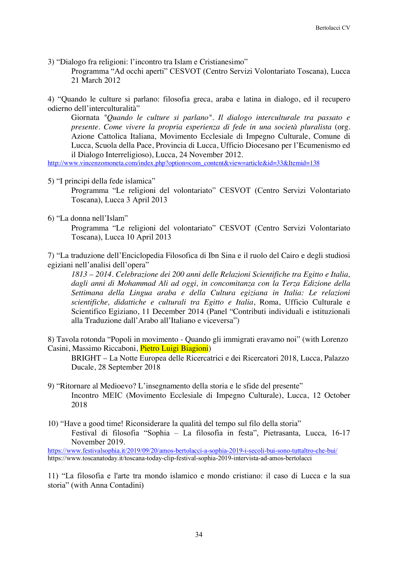3) "Dialogo fra religioni: l'incontro tra Islam e Cristianesimo"

Programma "Ad occhi aperti" CESVOT (Centro Servizi Volontariato Toscana), Lucca 21 March 2012

4) "Quando le culture si parlano: filosofia greca, araba e latina in dialogo, ed il recupero odierno dell'interculturalità"

Giornata *"Quando le culture si parlano". Il dialogo interculturale tra passato e presente. Come vivere la propria esperienza di fede in una società pluralista* (org. Azione Cattolica Italiana, Movimento Ecclesiale di Impegno Culturale, Comune di Lucca, Scuola della Pace, Provincia di Lucca, Ufficio Diocesano per l'Ecumenismo ed il Dialogo Interreligioso), Lucca, 24 November 2012.

http://www.vincenzomoneta.com/index.php?option=com\_content&view=article&id=33&Itemid=138

5) "I principi della fede islamica"

Programma "Le religioni del volontariato" CESVOT (Centro Servizi Volontariato Toscana), Lucca 3 April 2013

### 6) "La donna nell'Islam"

Programma "Le religioni del volontariato" CESVOT (Centro Servizi Volontariato Toscana), Lucca 10 April 2013

7) "La traduzione dell'Enciclopedia Filosofica di Ibn Sina e il ruolo del Cairo e degli studiosi egiziani nell'analisi dell'opera"

*1813 – 2014. Celebrazione dei 200 anni delle Relazioni Scientifiche tra Egitto e Italia, dagli anni di Mohammad Ali ad oggi, in concomitanza con la Terza Edizione della Settimana della Lingua araba e della Cultura egiziana in Italia: Le relazioni scientifiche, didattiche e culturali tra Egitto e Italia*, Roma, Ufficio Culturale e Scientifico Egiziano, 11 December 2014 (Panel "Contributi individuali e istituzionali alla Traduzione dall'Arabo all'Italiano e viceversa")

8) Tavola rotonda "Popoli in movimento - Quando gli immigrati eravamo noi" (with Lorenzo Casini, Massimo Riccaboni, Pietro Luigi Biagioni)

BRIGHT – La Notte Europea delle Ricercatrici e dei Ricercatori 2018, Lucca, Palazzo Ducale, 28 September 2018

- 9) "Ritornare al Medioevo? L'insegnamento della storia e le sfide del presente" Incontro MEIC (Movimento Ecclesiale di Impegno Culturale), Lucca, 12 October 2018
- 10) "Have a good time! Riconsiderare la qualità del tempo sul filo della storia" Festival di filosofia "Sophia – La filosofia in festa", Pietrasanta, Lucca, 16-17 November 2019.

https://www.festivalsophia.it/2019/09/20/amos-bertolacci-a-sophia-2019-i-secoli-bui-sono-tuttaltro-che-bui/ https://www.toscanatoday.it/toscana-today-clip-festival-sophia-2019-intervista-ad-amos-bertolacci

11) "La filosofia e l'arte tra mondo islamico e mondo cristiano: il caso di Lucca e la sua storia" (with Anna Contadini)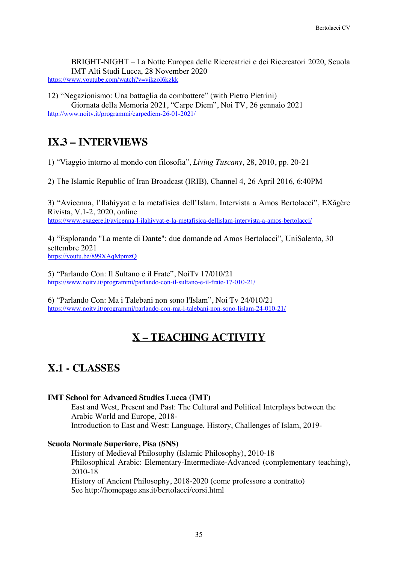BRIGHT-NIGHT – La Notte Europea delle Ricercatrici e dei Ricercatori 2020, Scuola IMT Alti Studi Lucca, 28 November 2020 https://www.youtube.com/watch?v=yjkzol6kzkk

12) "Negazionismo: Una battaglia da combattere" (with Pietro Pietrini) Giornata della Memoria 2021, "Carpe Diem", Noi TV, 26 gennaio 2021 http://www.noitv.it/programmi/carpediem-26-01-2021/

# **IX.3 – INTERVIEWS**

1) "Viaggio intorno al mondo con filosofia", *Living Tuscany*, 28, 2010, pp. 20-21

2) The Islamic Republic of Iran Broadcast (IRIB), Channel 4, 26 April 2016, 6:40PM

3) "Avicenna, l'Ilāhiyyāt e la metafisica dell'Islam. Intervista a Amos Bertolacci", EXǎgère Rivista, V.1-2, 2020, online https://www.exagere.it/avicenna-l-ilahiyyat-e-la-metafisica-dellislam-intervista-a-amos-bertolacci/

4) "Esplorando "La mente di Dante": due domande ad Amos Bertolacci", UniSalento, 30 settembre 2021 https://youtu.be/899XAqMpmzQ

5) "Parlando Con: Il Sultano e il Frate", NoiTv 17/010/21 https://www.noitv.it/programmi/parlando-con-il-sultano-e-il-frate-17-010-21/

6) "Parlando Con: Ma i Talebani non sono l'Islam", Noi Tv 24/010/21 https://www.noitv.it/programmi/parlando-con-ma-i-talebani-non-sono-lislam-24-010-21/

# **X – TEACHING ACTIVITY**

# **X.1 - CLASSES**

### **IMT School for Advanced Studies Lucca (IMT)**

East and West, Present and Past: The Cultural and Political Interplays between the Arabic World and Europe, 2018- Introduction to East and West: Language, History, Challenges of Islam, 2019-

### **Scuola Normale Superiore, Pisa (SNS)**

History of Medieval Philosophy (Islamic Philosophy), 2010-18 Philosophical Arabic: Elementary-Intermediate-Advanced (complementary teaching), 2010-18 History of Ancient Philosophy, 2018-2020 (come professore a contratto) See http://homepage.sns.it/bertolacci/corsi.html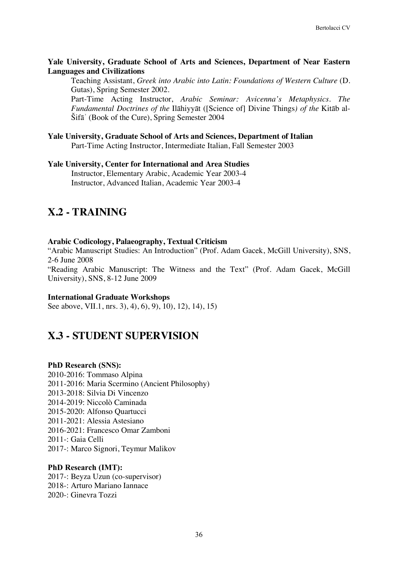### **Yale University, Graduate School of Arts and Sciences, Department of Near Eastern Languages and Civilizations**

Teaching Assistant, *Greek into Arabic into Latin: Foundations of Western Culture* (D. Gutas), Spring Semester 2002.

Part-Time Acting Instructor, *Arabic Seminar: Avicenna's Metaphysics. The Fundamental Doctrines of the* Ilāhiyyāt ([Science of] Divine Things*) of the* Kitāb al-Šifāʾ (Book of the Cure), Spring Semester 2004

### **Yale University, Graduate School of Arts and Sciences, Department of Italian** Part-Time Acting Instructor, Intermediate Italian, Fall Semester 2003

**Yale University, Center for International and Area Studies** Instructor, Elementary Arabic, Academic Year 2003-4 Instructor, Advanced Italian, Academic Year 2003-4

# **X.2 - TRAINING**

### **Arabic Codicology, Palaeography, Textual Criticism**

"Arabic Manuscript Studies: An Introduction" (Prof. Adam Gacek, McGill University), SNS, 2-6 June 2008

"Reading Arabic Manuscript: The Witness and the Text" (Prof. Adam Gacek, McGill University), SNS, 8-12 June 2009

#### **International Graduate Workshops**

See above, VII.1, nrs. 3), 4), 6), 9), 10), 12), 14), 15)

### **X.3 - STUDENT SUPERVISION**

#### **PhD Research (SNS):**

2010-2016: Tommaso Alpina 2011-2016: Maria Scermino (Ancient Philosophy) 2013-2018: Silvia Di Vincenzo 2014-2019: Niccolò Caminada 2015-2020: Alfonso Quartucci 2011-2021: Alessia Astesiano 2016-2021: Francesco Omar Zamboni 2011-: Gaia Celli 2017-: Marco Signori, Teymur Malikov

### **PhD Research (IMT):**

2017-: Beyza Uzun (co-supervisor) 2018-: Arturo Mariano Iannace 2020-: Ginevra Tozzi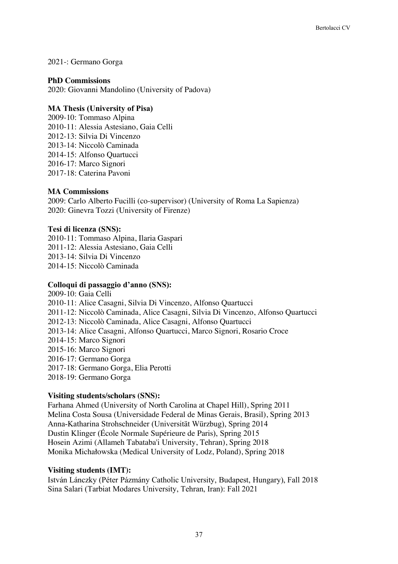### 2021-: Germano Gorga

### **PhD Commissions**

2020: Giovanni Mandolino (University of Padova)

### **MA Thesis (University of Pisa)**

2009-10: Tommaso Alpina 2010-11: Alessia Astesiano, Gaia Celli 2012-13: Silvia Di Vincenzo 2013-14: Niccolò Caminada 2014-15: Alfonso Quartucci 2016-17: Marco Signori 2017-18: Caterina Pavoni

### **MA Commissions**

2009: Carlo Alberto Fucilli (co-supervisor) (University of Roma La Sapienza) 2020: Ginevra Tozzi (University of Firenze)

### **Tesi di licenza (SNS):**

2010-11: Tommaso Alpina, Ilaria Gaspari 2011-12: Alessia Astesiano, Gaia Celli 2013-14: Silvia Di Vincenzo 2014-15: Niccolò Caminada

### **Colloqui di passaggio d'anno (SNS):**

2009-10: Gaia Celli 2010-11: Alice Casagni, Silvia Di Vincenzo, Alfonso Quartucci 2011-12: Niccolò Caminada, Alice Casagni, Silvia Di Vincenzo, Alfonso Quartucci 2012-13: Niccolò Caminada, Alice Casagni, Alfonso Quartucci 2013-14: Alice Casagni, Alfonso Quartucci, Marco Signori, Rosario Croce 2014-15: Marco Signori 2015-16: Marco Signori 2016-17: Germano Gorga 2017-18: Germano Gorga, Elia Perotti 2018-19: Germano Gorga

### **Visiting students/scholars (SNS):**

Farhana Ahmed (University of North Carolina at Chapel Hill), Spring 2011 Melina Costa Sousa (Universidade Federal de Minas Gerais, Brasil), Spring 2013 Anna-Katharina Strohschneider (Universität Würzbug), Spring 2014 Dustin Klinger (École Normale Supérieure de Paris), Spring 2015 Hosein Azimi (Allameh Tabataba'i University, Tehran), Spring 2018 Monika Michałowska (Medical University of Lodz, Poland), Spring 2018

### **Visiting students (IMT):**

István Lánczky (Péter Pázmány Catholic University, Budapest, Hungary), Fall 2018 Sina Salari (Tarbiat Modares University, Tehran, Iran): Fall 2021